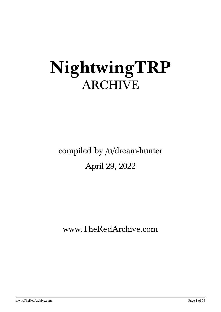# **NightwingTRP** ARCHIVE

## compiled by [/u/dream-hunter](https://old.reddit.com/user/dream-hunter) April 29, 2022

## [www.TheRedArchive.com](https://theredarchive.com/)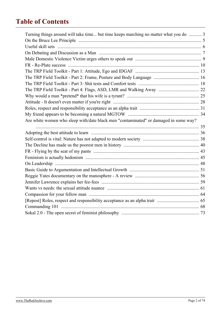## **Table of Contents**

| Turning things around will take time but time keeps marching no matter what you do  3 |  |
|---------------------------------------------------------------------------------------|--|
|                                                                                       |  |
|                                                                                       |  |
|                                                                                       |  |
|                                                                                       |  |
|                                                                                       |  |
|                                                                                       |  |
|                                                                                       |  |
|                                                                                       |  |
|                                                                                       |  |
|                                                                                       |  |
|                                                                                       |  |
|                                                                                       |  |
|                                                                                       |  |
| Are white women who sleep with/date black men "contaminated" or damaged in some way?  |  |
|                                                                                       |  |
|                                                                                       |  |
|                                                                                       |  |
|                                                                                       |  |
|                                                                                       |  |
|                                                                                       |  |
|                                                                                       |  |
|                                                                                       |  |
|                                                                                       |  |
|                                                                                       |  |
|                                                                                       |  |
|                                                                                       |  |
|                                                                                       |  |
|                                                                                       |  |
|                                                                                       |  |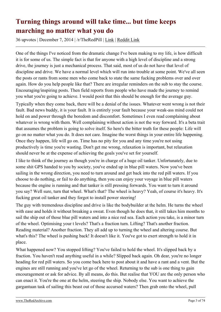## <span id="page-2-0"></span>**Turning things around will take time... but time keeps marching no matter what you do**

36 upvotes | December 7, 2014 | /r/TheRedPill | [Link](https://theredarchive.com/r/TheRedPill/turning-things-around-will-take-time-but-time.25961) | [Reddit Link](https://old.reddit.com/r/TheRedPill/comments/2ok0ma/turning_things_around_will_take_time_but_time/)

One of the things I've noticed from the dramatic change I've been making to my life, is how difficult it is for some of us. The simple fact is that for anyone with a high level of discipline and a strong drive, the journey is just a mechanical process. That said, most of us do not have that level of discipline and drive. We have a normal level which will run into trouble at some point. We've all seen the posts or rants from some men who come back to state the same fucking problems over and over again. How do you help people like that? There are irregular reminders on the sub to stay the course. Encouraging/inspiring posts. Then field reports from people who have made the journey to remind you what you're going to achieve. I would posit that this should be enough for the average guy.

Typically when they come back, there will be a denial of the issues. Whatever went wrong is not their fault. Bad news buddy, it is your fault. It is entirely your fault because your weak-ass mind could not hold on and power through the boredom and discomfort. Sometimes I even read complaining about whatever is wrong with them. Well complaining without action is not the way forward. It's a beta trait that assumes the problem is going to solve itself. So here's the bitter truth for these people: Life will go on no matter what you do. It does not care. Imagine the worst things in your entire life happening. Once they happen, life will go on. Time has no pity for you and any time you're not using productively is time you're wasting. Don't get me wrong, relaxation is important, but relaxation should never be at the expense of achieving the goals you've set for yourself.

I like to think of the journey as though you're in charge of a huge oil tanker. Unfortunately, due to some shit GPS handed to you by society, you've ended up in blue pill waters. Now you've been sailing in the wrong direction, you need to turn around and get back into the red pill waters. If you choose to do nothing, or fail to do anything, then you can enjoy your voyage in blue pill waters because the engine is running and that tanker is still pressing forwards. You want to turn it around you say? Well sure, turn that wheel. What's that? The wheel is heavy? Yeah, of course it's heavy. It's fucking great oil tanker and they forgot to install power steering!

The guy with tremendous discipline and drive is like the bodybuilder at the helm. He turns the wheel with ease and holds it without breaking a sweat. Even though he does that, it still takes him months to sail the ship out of those blue pill waters and into a nice red sea. Each action you take, is a minor turn of the wheel. Optimising your t levels? That's a fraction turn. Lifting? That's another fraction. Reading material? Another fraction. They all add up to turning the wheel and altering course. But what's this? The wheel is pushing back! It doesn't like it. You've got to exert strength to hold it in place.

What happened now? You stopped lifting? You've failed to hold the wheel. It's slipped back by a fraction. You haven't read anything useful in a while? Slipped back again. Oh dear, you're no longer heading for red pill waters. So you come back here to post about it and have a rant and a vent. But the engines are still running and you've let go of the wheel. Returning to the sub is one thing to gain encouragement or ask for advice. By all means, do this. But realise that YOU are the only person who can enact it. You're the one at the helm, steering the ship. Nobody else. You want to achieve the gargantuan task of sailing this beast out of those accursed waters? Then grab onto the wheel, pull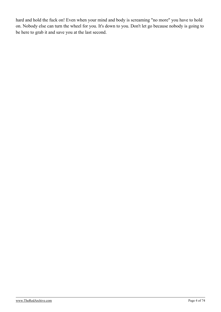hard and hold the fuck on! Even when your mind and body is screaming "no more" you have to hold on. Nobody else can turn the wheel for you. It's down to you. Don't let go because nobody is going to be here to grab it and save you at the last second.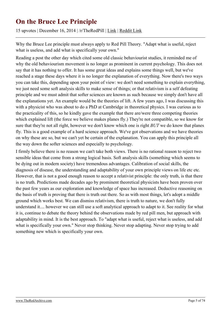#### <span id="page-4-0"></span>**On the Bruce Lee Principle**

15 upvotes | December 16, 2014 | /r/TheRedPill | [Link](https://theredarchive.com/r/TheRedPill/on-the-bruce-lee-principle.26462) | [Reddit Link](https://old.reddit.com/r/TheRedPill/comments/2pgrcz/on_the_bruce_lee_principle/)

Why the Bruce Lee principle must always apply to Red Pill Theory. "Adapt what is useful, reject what is useless, and add what is specifically your own."

Reading a post the other day which cited some old classic behaviourist studies, it reminded me of why the old behaviourism movement is no longer as prominent in current psychology. This does not say that it has nothing to offer. It has some great ideas and explains some things well, but we've reached a stage these days where it is no longer the explanation of everything. Now there's two ways you can take this, depending upon your point of view: we don't need something to explain everything, we just need some soft analysis skills to make sense of things; or that relativism is a self defeating principle and we must admit that softer sciences are known as such because we simply don't have all the explanations yet. An example would be the theories of lift. A few years ago, I was discussing this with a physicist who was about to do a PhD at Cambridge in theoretical physics. I was curious as to the practicality of this, so he kindly gave the example that there are/were three competing theories which explained lift (the force we believe makes planes fly.) They're not compatible, so we know for sure that they're not all right, however we don't know which one is right *BUT* we do know that planes fly. This is a good example of a hard science approach. We've got observations and we have theories on why these are so, but we can't yet be certain of the explanation. You can apply this principle all the way down the softer sciences and especially to psychology.

I firmly believe there is no reason we can't take both views. There is no rational reason to reject two sensible ideas that come from a strong logical basis. Soft analysis skills (something which seems to be dying out in modern society) have tremendous advantages. Calibration of social skills, the diagnosis of disease, the understanding and adaptability of your own principle views on life etc etc. However, that is not a good enough reason to accept a relativist principle: the only truth, is that there is no truth. Predictions made decades ago by prominent theoretical physicists have been proven over the past few years as our exploration and knowledge of space has increased. Deductive reasoning on the basis of truth is proving that there is truth out there. So as with most things, let's adopt a middle ground which works best. We can dismiss relativism, there is truth to nature, we don't fully understand it.... however we can still use a soft analytical approach to adapt to it. See reality for what it is, continue to debate the theory behind the observations made by red pill men, but approach with adaptability in mind. It is the best approach. To "adapt what is useful, reject what is useless, and add what is specifically your own." Never stop thinking. Never stop adapting. Never stop trying to add something new which is specifically your own.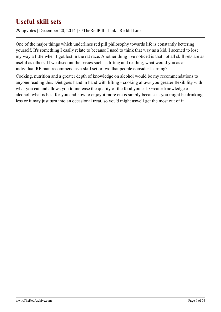## <span id="page-5-0"></span>**Useful skill sets**

29 upvotes | December 20, 2014 | /r/TheRedPill | [Link](https://theredarchive.com/r/TheRedPill/useful-skill-sets.26693) | [Reddit Link](https://old.reddit.com/r/TheRedPill/comments/2pvlgx/useful_skill_sets/)

One of the major things which underlines red pill philosophy towards life is constantly bettering yourself. It's something I easily relate to because I used to think that way as a kid. I seemed to lose my way a little when I got lost in the rat race. Another thing I've noticed is that not all skill sets are as useful as others. If we discount the basics such as lifting and reading, what would you as an individual RP man recommend as a skill set or two that people consider learning?

Cooking, nutrition and a greater depth of knowledge on alcohol would be my recommendations to anyone reading this. Diet goes hand in hand with lifting - cooking allows you greater flexibility with what you eat and allows you to increase the quality of the food you eat. Greater knowledge of alcohol, what is best for you and how to enjoy it more etc is simply because... you might be drinking less or it may just turn into an occasional treat, so you'd might aswell get the most out of it.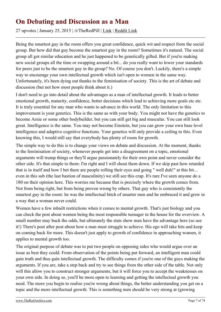#### <span id="page-6-0"></span>**On Debating and Discussion as a Man**

27 upvotes | January 25, 2015 | /r/TheRedPill | [Link](https://theredarchive.com/r/TheRedPill/on-debating-and-discussion-as-a-man.28345) | [Reddit Link](https://old.reddit.com/r/TheRedPill/comments/2tmp9i/on_debating_and_discussion_as_a_man/)

Being the smartest guy in the room offers you great confidence, quick wit and respect from the social group. But how did that guy become the smartest guy in the room? Sometimes it's natural. The social group all got similar education and he just happened to be genetically gifted. But if you're making new social groups all the time or swapping around a bit... do you really want to lower your standards for peers just to be the smartest guy in the group? No. Of course you don't. Luckily, there's a simple way to encourage your own intellectual growth which isn't open to women in the same way. Unfortunately, it's been dying out thanks to the feminisation of society. This is the art of debate and discussion (but not how most people think about it.)

I don't need to go into detail about the advantages as a man of intellectual growth. It leads to better emotional growth, maturity, confidence, better decisions which lead to achieving more goals etc etc. It is truly essential for any man who wants to advance in this world. The only limitation to this improvement is your genetics. This is the same as with your body. You might not have the genetics to become Arnie or some other bodybuilder, but you can still get big and muscular. You can still look great. Intelligence is the same. You may not become Einstein, but you can grow your own base level intelligence and adaptive cognitive functions. Your genetics will only provide a ceiling to this. Even knowing this, I would still say that everybody has plenty of room for growth.

The simple way to do this is to change your views on debate and discussion. At the moment, thanks to the feminisation of society, whenever people get into a disagreement on a topic, emotional arguments will trump things or they'll argue passionately for their own point and never consider the other side. It's that simple to them: I'm right and I will shout them down. If we skip past how retarded that is in itself and how I bet there are people rolling their eyes and going " well duh!" at this bit... even in this sub (the last bastion of masculinity) we still see this crap. It's rare I've seen anyone do a 180 on their opinion here. This worries me because that is precisely where the growth comes from. Not from being right, but from being proven wrong by others. That guy who is consistently the smartest guy in the room: he was the intellectual bitch of smarter men and he embraced it and grew in a way that a woman never could.

Women have a few inbuilt restrictions when it comes to mental growth. That's just biology and you can check the post about women being the most responsible teenager in the house for the overview. A small number may buck the odds, but ultimately the stats show men have the advantage here (so use it!) There's post after post about how a man must struggle to achieve. His ego will take hits and keep on coming back for more. This doesn't just apply to growth of confidence in approaching women, it applies to mental growth too.

The original purpose of debate was to put two people on opposing sides who would argue over an issue as best they could. From observation of the points being put forward, an intelligent man could gain truth and thus gain intellectual growth. The difficulty comes if you're one of the guys making the arguments. If you are, take a step back and try to see things from the other side of the table. Not only will this allow you to construct stronger arguments, but it will force you to accept the weaknesses on your own side. In doing so, you'll be more open to learning and getting the intellectual growth you need. The more you begin to realise you're wrong about things, the better understanding you get on a topic and the more intellectual growth. This is something men should be very strong at (growing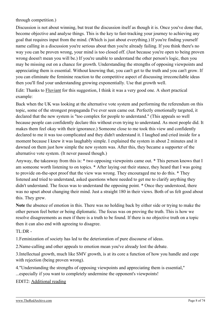through competition.)

Discussion is not about winning, but treat the discussion itself as though it is. Once you've done that, become objective and analyse things. This is the key to fast-tracking your journey to achieving any goal that requires input from the mind. (Which is just about everything.) If you're finding yourself name calling in a discussion you're serious about then you're already failing. If you think there's no way you can be proven wrong, your mind is too closed off. (Just because you're open to being proven wrong doesn't mean you will be.) If you're unable to understand the other person's logic, then you may be missing out on a chance for growth. Understanding the strengths of opposing viewpoints and appreciating them is essential. Without knowing that, you can't get to the truth and you can't grow. If you can eliminate the feminine reaction to the competitive aspect of discussing irreconcilable ideas then you'll find your understanding growing exponentially. Use that growth well.

Edit: Thanks to [Fluviant](http://bit.ly/1C26seA) for this suggestion, I think it was a very good one. A short practical example:

Back when the UK was looking at the alternative vote system and performing the referendum on this topic, some of the strongest propaganda I've ever seen came out. Perfectly emotionally targeted, it declared that the new system is "too complex for people to understand." (This appeals so well because people can confidently declare this without even trying to understand. As most people did. It makes them feel okay with their ignorance.) Someone close to me took this view and confidently declared to me it was too complicated and they didn't understand it. I laughed and cried inside for a moment because I knew it was laughably simple. I explained the system in about 2 minutes and it dawned on them just how simple the new system was. After this, they became a supporter of the alternative vote system. (It never passed though.)

Anyway, the takeaway from this is: \* two opposing viewpoints came out. \* This person knows that I am someone worth listening to on topics. \* After laying out their stance, they heard that I was going to provide on-the-spot proof that the view was wrong. They encouraged me to do this. \* They listened and tried to understand, asked questions where needed to get me to clarify anything they didn't understand. The focus was to understand the opposing point. \* Once they understood, there was no upset about changing their mind. Just a straight 180 in their views. Both of us felt good about this. They grew.

**Note** the absence of emotion in this. There was no holding back by either side or trying to make the other person feel better or being diplomatic. The focus was on proving the truth. This is how we resolve disagreements as men if there is a truth to be found. If there is no objective truth on a topic then it can also end with agreeing to disagree.

 $TL:DR -$ 

1.Feminization of society has led to the deterioration of pure discourse of ideas.

2.Name-calling and other appeals to emotion mean you've already lost the debate.

3.Intellectual growth, much like SMV growth, is at its core a function of how you handle and cope with rejection (being proven wrong).

4."Understanding the strengths of opposing viewpoints and appreciating them is essential," ...especially if you want to completely undermine the opponent's viewpoints!

EDIT2: [Additional reading](https://theredarchive.com/redirect?l=returnofkings.com/53894/the-dilemma-of-perspective)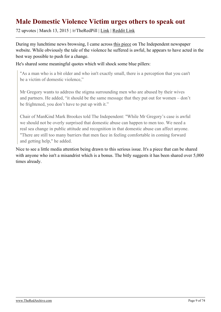#### <span id="page-8-0"></span>**Male Domestic Violence Victim urges others to speak out**

72 upvotes | March 13, 2015 | /r/TheRedPill | [Link](https://theredarchive.com/r/TheRedPill/male-domestic-violence-victim-urges-others-to.30170) | [Reddit Link](https://old.reddit.com/r/TheRedPill/comments/2ywl0j/male_domestic_violence_victim_urges_others_to/)

During my lunchtime news browsing, I came across [this piece](http://ind.pn/18hGbMJ) on The Independent newspaper website. While obviously the tale of the violence he suffered is awful, he appears to have acted in the best way possible to push for a change.

He's shared some meaningful quotes which will shock some blue pillers:

"As a man who is a bit older and who isn't exactly small, there is a perception that you can't be a victim of domestic violence,"

Mr Gregory wants to address the stigma surrounding men who are abused by their wives and partners. He added, "it should be the same message that they put out for women – don't be frightened, you don't have to put up with it."

Chair of ManKind Mark Brookes told The Independent: "While Mr Gregory's case is awful we should not be overly surprised that domestic abuse can happen to men too. We need a real sea change in public attitude and recognition in that domestic abuse can affect anyone. "There are still too many barriers that men face in feeling comfortable in coming forward and getting help," he added.

Nice to see a little media attention being drawn to this serious issue. It's a piece that can be shared with anyone who isn't a misandrist which is a bonus. The bitly suggests it has been shared over 5,000 times already.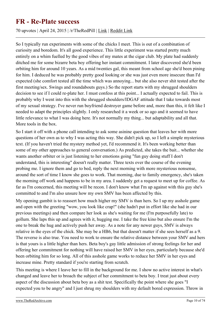#### <span id="page-9-0"></span>**FR - Re-Plate success**

70 upvotes | April 24, 2015 | /r/TheRedPill | [Link](https://theredarchive.com/r/TheRedPill/fr-re-plate-success.31797) | [Reddit Link](https://old.reddit.com/r/TheRedPill/comments/33p4qc/fr_replate_success/)

So I typically run experiments with some of the chicks I meet. This is out of a combination of curiosity and boredom. It's all good experience. This little experiment was started pretty much entirely on a whim fuelled by the good vibes of my mates at the cigar club. My plate had suddenly ditched me for some bizarre beta boy offering her instant commitment. I later discovered she'd been orbiting him for around 10 years. As a mid twenties gal, this meant from school age she'd been pining for him. I deduced he was probably pretty good looking or she was just even more insecure than I'd expected (she comfort tested all the time which was annoying... but she also never shit tested after the first meeting/sex. Swings and roundabouts guys.) So the report starts with my shrugged shoulders decision to see if I could re-plate her. I must confess at this point... I actually expected to fail. This is probably why I went into this with the shrugged shoulders/IDGAF attitude that I take towards most of my sexual strategy. I've never run boyfriend destroyer game before and, more than this, it felt like I needed to adapt the principles slightly. I only researched it a week or so ago and it seemed to have little relevance to what I was doing here. It's not normally my thing... but adaptability and all that. More tools in the box.

So I start it off with a phone call intending to ask some asinine question that leaves her with more questions of her own as to why I was acting this way. She didn't pick up, so I left a simple mysterious text. (If you haven't tried the mystery method yet, I'd recommend it. It's been working better than some of my other approaches to general conversation.) As predicted, she takes the bait... whether she wants another orbiter or is just listening to her emotions going "fun guy doing stuff I don't understand, this is interesting" doesn't really matter. Three texts over the course of the evening probing me. I ignore them and go to bed, reply the next morning with more mysterious nonsense, around the sort of time I know she goes to work. That morning, due to family emergency, she's taken the morning off work and happens to be in my area. I suddenly get a request to meet up for coffee. As far as I'm concerned, this meeting will be recon. I don't know what I'm up against with this guy she's committed to and I'm also unsure how my own SMV has been affected by this.

My opening gambit is to reassert how much higher my SMV is than hers. So I up my asshole game and open with the greeting "wow, you look like crap!" (she hadn't put in effort like she had in our previous meetings) and then compare her look as she's waiting for me (I'm purposefully late) to gollum. She laps this up and agrees with it, hugging me. I take the free kino but also ensure I'm the one to break the hug and actively push her away. As a note for any newer guys, SMV is always relative in the eyes of the chick. She may be a HB6, but that doesn't matter if she sees herself as a 9. The reverse is also true. You need to work to ensure the relative distance between your SMV and hers is that yours is a little higher than hers. Beta boy's gay little admission of strong feelings for her and offering her commitment for nothing will have raised her SMV in her eyes, particularly because she'd been orbiting him for so long. All of this asshole game works to reduce her SMV in her eyes and increase mine. Pretty standard if you're starting from scratch.

This meeting is where I leave her to fill in the background for me. I show no active interest in what's changed and leave her to broach the subject of her commitment to beta boy. I treat just about every aspect of the discussion about beta boy as a shit test. Specifically the point where she goes "I expected you to be angry" and I just shrug my shoulders with my default bored expression. Throw in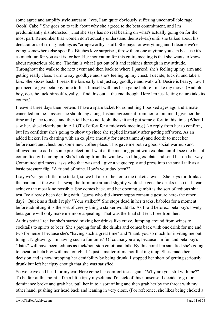some agree and amplify style sarcasm: "yes, I am quite obviously suffering uncontrollable rage. Oooh! Cake!" She goes on to talk about why she agreed to the beta commitment, and I'm predominantly disinterested (what she says has no real bearing on what's actually going on for the most part. Remember that women don't actually understand themselves.) until she talked about his declarations of strong feelings as "cringeworthy" stuff. She pays for everything and I decide we're going somewhere else specific. Bitches love surprises, throw them one anytime you can because it's as much fun for you as it is for her. Her motivation for this entire meeting is that she wants to know about mysterious old me. The fun is what I get out of it and it shines through in my attitude. Throughout the walk to the next event and then back to where I parked, she's feeling up my arm and getting really close. Turn to say goodbye and she's feeling up my chest. I decide, fuck it, and take a kiss. She kisses back. I break the kiss early and just say goodbye and walk off. Desire is heavy, now I just need to give beta boy time to fuck himself with his beta game before I make my move. (And oh boy, does he fuck himself royally. I find this out at the end though. Here I'm just letting nature take its course.)

I leave it three days then pretend I have a spare ticket for something I booked ages ago and a mate cancelled on me. I assert she should tag along. Instant agreement from her to join me. I give her the time and place to meet and then tell her to not look like shit and put some effort in this time. (When I saw her, she'd clearly put in A LOT of effort for a midweek meeting.) No reply from her to confirm, but I'm confident she's going to show up since she replied instantly after getting off work. As an added kicker, I'm chatting with an ex plate (mostly for entertainment) and decide to meet her beforehand and check out some new coffee place. This gave me both a good social warmup and allowed me to add in some preselection. I wait at the meeting point with ex plate until I see the bus of committed girl coming in. She's looking from the window, so I hug ex plate and send her on her way. Committed girl meets, asks who that was and I give a vague reply and press into the small talk as a basic pressure flip. "A friend of mine. How's your day been?"

I say we've got a little time to kill, so we hit a bar, then onto the ticketed event. She pays for drinks at the bar and at the event. I swap the furniture around slightly while she gets the drinks in so that I can achieve the most kino possible. She comes back, and her opening gambit is the sort of tedious shit test I've already been dealing with. "guess who did -insert soppy romantic gesture here- the other day?" Quick as a flash I reply "Your stalker?" She stops dead in her tracks, babbles for a moment before admitting it is the sort of creepy thing a stalker would do. As I said before... beta boy's lovely beta game will only make me more appealing. That was the final shit test I see from her.

At this point I realise she's started mixing her drinks like crazy. Jumping around from wines to cocktails to spirits to beer. She's paying for all the drinks and comes back with one drink for me and two for herself because she's "having such a great time" and "thank you so much for inviting me out tonight Nightwing. I'm having such a fun time." Of course you are, because I'm fun and beta boy's "dates" will have been tedious as fuck/non-stop emotional talk. By this point I'm satisfied she's going to cheat on beta boy with me tonight. It's just a matter of me not fucking it up. She's made her decision and is now prepping her deniability by being drunk. I stopped her short of getting seriously drunk but left her tipsy enough that she was satisfied.

So we leave and head for my car. Here come her comfort tests again. "Why are you still with me?" To be fair at this point... I'm a little tipsy myself and I'm sick of this nonsense. I decide to go for dominance broke and grab her, pull her in to a sort of hug and then grab her by the throat with my other hand, pushing her head back and leaning in very close. (For reference, she likes being choked a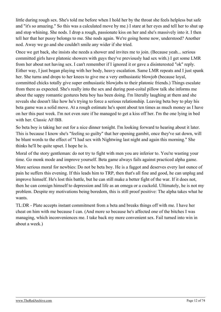little during rough sex. She's told me before when I hold her by the throat she feels helpless but safe and "it's so amazing." So this was a calculated move by me.) I stare at her eyes and tell her to shut up and stop whining. She nods. I drop a rough, passionate kiss on her and she's massively into it. I then tell her that her pussy belongs to me. She nods again. We're going home now, understood? Another nod. Away we go and she couldn't smile any wider if she tried.

Once we get back, she insists she needs a shower and invites me to join. (Because yeah... serious committed girls have platonic showers with guys they've previously had sex with.) I get some LMR from her about not having sex. I can't remember if I ignored it or gave a disinterested "ok" reply. Either way, I just began playing with her body, heavy escalation. Same LMR repeats and I just spank her. She turns and drops to her knees to give me a very enthusiastic blowjob (because loyal, committed chicks totally give super enthusiastic blowjobs to their platonic friends.) Things escalate from there as expected. She's really into the sex and during post-coital pillow talk she informs me about the sappy romantic gestures beta boy has been doing. I'm literally laughing at them and she reveals she doesn't like how he's trying to force a serious relationship. Leaving beta boy to play his beta game was a solid move. At a rough estimate he's spent about ten times as much money as I have on her this past week. I'm not even sure if he managed to get a kiss off her. I'm the one lying in bed with her. Classic AF/BB.

So beta boy is taking her out for a nice dinner tonight. I'm looking forward to hearing about it later. This is because I know she's "feeling so guilty" that her opening gambit, once they've sat down, will be blunt words to the effect of "I had sex with Nightwing last night and again this morning." She thinks he'll be quite upset. I hope he is.

Moral of the story gentleman: do not try to fight with men you are inferior to. You're wasting your time. Go monk mode and improve yourself. Beta game always fails against practiced alpha game.

More serious moral for newbies: Do not be beta boy. He is a faggot and deserves every last ounce of pain he suffers this evening. If this leads him to TRP, then that's all fine and good, he can unplug and improve himself. He's lost this battle, but he can still make a better fight of the war. If it does not, then he can consign himself to depression and life as an omega or a cuckold. Ultimately, he is not my problem. Despite my motivations being boredom, this is still proof positive: The alpha takes what he wants.

TL:DR - Plate accepts instant commitment from a beta and breaks things off with me. I have her cheat on him with me because I can. (And more so because he's affected one of the bitches I was managing, which inconveniences me. I take back my more convenient sex. Fail turned into win in about a week.)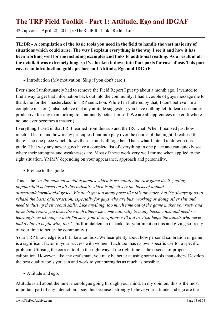## <span id="page-12-0"></span>**The TRP Field Toolkit - Part 1: Attitude, Ego and IDGAF**

422 upvotes | April 28, 2015 | /r/TheRedPill | [Link](https://theredarchive.com/r/TheRedPill/the-trp-field-toolkit-part-1-attitude-ego-and.31949) | [Reddit Link](https://old.reddit.com/r/TheRedPill/comments/3464h4/the_trp_field_toolkit_part_1_attitude_ego_and/)

**TL:DR - A compilation of the basic tools you need in the field to handle the vast majority of situations which could arise. The way I explain everything is the way I see it and how it has been working well for me including examples and links to additional reading. As a result of all the detail, it was extremely long, so I've broken it down into four parts for ease of use. This part covers an introduction, guide preface and Attitude, Ego and IDGAF.**

• Introduction (My motivation. Skip if you don't care.)

Ever since I unfortunately had to remove the Field Report I put up about a month ago, I wanted to find a way to get that information back out into the community. I had a couple of guys message me to thank me for the "masterclass" in TRP seduction. While I'm flattered by that, I don't believe I'm a complete master. (I also believe that any attitude suggesting you have nothing left to learn is counterproductive for any man looking to continually better himself. We are all apprentices in a craft where no one ever becomes a master.)

Everything I used in that FR, I learned from this sub and the IRC chat. When I realised just how much I'd learnt and how many principles I put into play over the course of that night, I realised that there is no one piece which draws these strands all together. That's what I intend to do with this guide. That way any newer guys have a complete list of everything in one place and can quickly see where their strengths and weaknesses are. Most of these work very well for me when applied to the right situation, YMMV depending on your appearance, approach and personality.

• Preface to the guide

This is the *"in-the-moment social dynamics which is essentially the raw game itself, getting popular/laid is based on all this bullshit, which is effectively the basis of animal attraction/charm/social grace. We don't get too many posts like this anymore, but it's always good to rehash the basis of interaction, especially for guys who are busy working or doing other shit and need to dust up their social skills. Like anything, too much time out of the game makes you rusty and these behaviours you describe which otherwise come naturally to many become lost and need relearning/reawakening, which I'm sure your descriptions will aid in. Also helps the autists who never had a clue to begin with, too." - /u/Illimitableman* (Thanks for your input on this and giving so freely of your time to better the community.)

Your TRP knowledge is a bit like a toolbox. We hear plenty about how personal calibration of game is a significant factor in your success with women. Each tool has its own specific use for a specific problem. Utilising the correct tool in the right way at the right time is the essence of proper calibration. However, like any craftsman, you may be better at using some tools than others. Develop the best quality tools you can and work to your strengths as much as possible.

Attitude and ego.

Attitude is all about the inner monologue going through your mind. In my opinion, this is the most important part of any interaction. I say this because I strongly believe your attitude and ego are the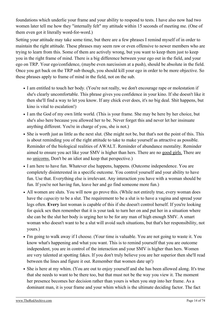foundations which underlie your frame and your ability to respond to tests. I have also now had two women later tell me how they "internally felt" my attitude within 15 seconds of meeting me. (One of them even got it literally word-for-word.)

Setting your attitude may take some time, but there are a few phrases I remind myself of in order to maintain the right attitude. These phrases may seem raw or even offensive to newer members who are trying to learn from this. Some of them are actively wrong, but you want to keep them just to keep you in the right frame of mind. There is a big difference between your ego out in the field, and your ego on TRP. Your ego/confidence, (maybe even narcissism at a push), should be absolute in the field. Once you get back on the TRP sub though, you should kill your ego in order to be more objective. So these phrases apply to frame of mind in the field, not on the sub.

- I am entitled to touch her body. (You're not really, we don't encourage rape or molestation if she's clearly uncomfortable. This phrase gives you confidence in your kino. If she doesn't like it then she'll find a way to let you know. If any chick ever does, it's no big deal. Shit happens, but kino is vital to escalation!)
- I am the God of my own little world. (This is your frame. She may be here by her choice, but she's also here because you allowed her to be. Never forget this and never let her insinuate anything different. You're in charge of you, she is not.)
- She is worth just as little as the next slut. (She might not be, but that's not the point of this. This is about reminding you of the right attitude to take to make yourself as attractive as possible. Reminder of the biological realities of AWALT. Reminder of abundance mentality. Reminder aimed to ensure you act like your SMV is higher than hers. There are no [good girls.](https://theredarchive.com/redirect?l=therationalmale.com/2011/11/10/good-girls-do/) There are no [unicorns.](https://archive.is/2nSdW) Don't be an idiot and keep that perspective.)
- I am here to have fun. Whatever else happens, happens. (Outcome independence. You are completely disinterested in a specific outcome. You control yourself and your ability to have fun. Use that. Everything else is irrelevant. Any interaction you have with a woman should be fun. If you're not having fun, leave her and go find someone more fun.)
- All women are sluts. You will now go prove this. (While not entirely true, every woman does have the *capacity* to be a slut. The requirement to be a slut is to have a vagina and spread your legs often. **Every** last woman is capable of this if she doesn't control herself. If you're looking for quick sex then remember that it is your task to turn her on and put her in a situation where she can be the slut her body is urging her to be for any man of high enough SMV. A smart woman who doesn't want to be a slut will avoid such situations, but that's her responsibility, not yours.)
- I'm going to walk away if I choose. (Your time is valuable. You are not going to waste it. You know what's happening and what you want. This is to remind yourself that you are outcome independent, you are in control of the interaction and your SMV is higher than hers. Women are very talented at spotting fakes. If you don't truly believe you are her superior then she'll read between the lines and figure it out. Remember that women date up!)
- She is here at my whim. (You are out to enjoy yourself and she has been allowed along. It's true that she needs to want to be there too, but that must not be the way you view it. The moment her presence becomes her decision rather than yours is when you step into her frame. As a dominant man, it is your frame and your whim which is the ultimate deciding factor. The fact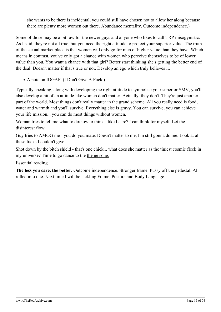she wants to be there is incidental, you could still have chosen not to allow her along because there are plenty more women out there. Abundance mentality. Outcome independence.)

Some of those may be a bit raw for the newer guys and anyone who likes to call TRP misogynistic. As I said, they're not all true, but you need the right attitude to project your superior value. The truth of the sexual market place is that women will only go for men of higher value than they have. Which means in contrast, you've only got a chance with women who perceive themselves to be of lower value than you. You want a chance with that girl? Better start thinking she's getting the better end of the deal. Doesn't matter if that's true or not. Develop an ego which truly believes it.

• A note on IDGAF. (I Don't Give A Fuck.)

Typically speaking, along with developing the right attitude to symbolise your superior SMV, you'll also develop a bit of an attitude like women don't matter. Actually, they don't. They're just another part of the world. Most things don't really matter in the grand scheme. All you really need is food, water and warmth and you'll survive. Everything else is gravy. You can survive, you can achieve your life mission... you can do most things without women.

Woman tries to tell me what to do/how to think - like I care? I can think for myself. Let the disinterest flow.

Guy tries to AMOG me - you do you mate. Doesn't matter to me, I'm still gonna do me. Look at all these fucks I couldn't give.

Shot down by the bitch shield - that's one chick... what does she matter as the tiniest cosmic fleck in my universe? Time to go dance to the [theme song.](http://bit.ly/1Hss5Eq)

#### [Essential reading.](https://archive.is/gEDQc)

**The less you care, the better.** Outcome independence. Stronger frame. Pussy off the pedestal. All rolled into one. Next time I will be tackling Frame, Posture and Body Language.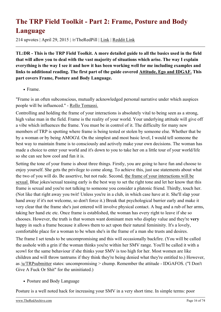## <span id="page-15-0"></span>**The TRP Field Toolkit - Part 2: Frame, Posture and Body Language**

214 upvotes | April 29, 2015 | /r/TheRedPill | [Link](https://theredarchive.com/r/TheRedPill/the-trp-field-toolkit-part-2-frame-posture-and.32014) | [Reddit Link](https://old.reddit.com/r/TheRedPill/comments/34bynz/the_trp_field_toolkit_part_2_frame_posture_and/)

**TL:DR - This is the TRP Field Toolkit. A more detailed guide to all the basics used in the field that will allow you to deal with the vast majority of situations which arise. The way I explain everything is the way I see it and how it has been working well for me including examples and links to additional reading. The first part of the guide covered [Attitude, Ego and IDGAF.](https://archive.is/AKzLR) This part covers Frame, Posture and Body Language.**

#### • Frame.

"Frame is an often subconscious, mutually acknowledged personal narrative under which auspices people will be influenced." - [Rollo Tomassi.](https://theredarchive.com/redirect?l=therationalmale.com/2011/10/12/frame/)

Controlling and holding the frame of your interactions is absolutely vital to being seen as a strong, high value man in the field. Frame is the reality of your world. Your underlying attitude will give off a vibe which influences the frame. You must be in control of it. The difficulty for many new members of TRP is spotting where frame is being tested or stolen by someone else. Whether that be by a woman or by being AMOG'd. On the simplest and most basic level, I would tell someone the best way to maintain frame is to consciously and actively make your own decisions. The woman has made a choice to enter your world and it's down to you to take her on a little tour of your world/life so she can see how cool and fun it is.

Setting the tone of your frame is about three things. Firstly, you are going to have fun and choose to enjoy yourself. She gets the privilege to come along. To achieve this, just use statements about what the two of you will do. Be assertive, but not rude. Second, [the frame of your interactions will be](https://archive.is/nVvrX) [sexual.](https://archive.is/nVvrX) Blue jokes/sexual teasing early is the best way to set the right tone and let her know that this frame is sexual and you're not talking to someone you consider a platonic friend. Thirdly, touch her. (Not like that right away you twit! Unless you're in a club, in which case have at it. She'll slap your hand away if it's not welcome, so don't force it.) Break that psychological barrier early and make it very clear that the frame she's just entered will involve physical contact. A hug and a rub of her arms, taking her hand etc etc. Once frame is established, the woman has every right to leave if she so chooses. However, the truth is that women want dominant men who display value and they're **very** happy in such a frame because it allows them to act upon their natural femininity. It's a lovely, comfortable place for a woman to be when she's in the frame of a man she trusts and desires.

The frame I set tends to be uncompromising and this will occasionally backfire. (You will be called the asshole with a grin if the woman thinks you're within her SMV range. You'll be called it with a scowl for the same behaviour if she thinks your SMV is too high for her. Most women are like children and will throw tantrums if they think they're being denied what they're entitled to.) However, as [/u/TRPsubmitter](https://theredarchive.com/u/TRPsubmitter) states: uncompromising > chump. Remember the attitude - IDGAFOS. ("I Don't Give A Fuck Or Shit" for the uninitiated.)

• Posture and Body Language

Posture is a well noted hack for increasing your SMV in a very short time. In simple terms: poor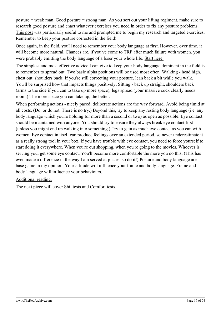posture = weak man. Good posture = strong man. As you sort out your lifting regiment, make sure to research good posture and enact whatever exercises you need in order to fix any posture problems. [This post](https://archive.is/YRRId) was particularly useful to me and prompted me to begin my research and targeted exercises. Remember to keep your posture corrected in the field!

Once again, in the field, you'll need to remember your body language at first. However, over time, it will become more natural. Chances are, if you've come to TRP after much failure with women, you were probably emitting the body language of a loser your whole life. [Start here.](https://archive.is/Gerjm)

The simplest and most effective advice I can give to keep your body language dominant in the field is to remember to spread out. Two basic alpha positions will be used most often. Walking - head high, chest out, shoulders back. If you're still correcting your posture, lean back a bit while you walk. You'll be surprised how that impacts things positively. Sitting - back up straight, shoulders back (arms to the side if you can to take up more space), legs spread (your massive cock clearly needs room.) The more space you can take up, the better.

When performing actions - nicely paced, deliberate actions are the way forward. Avoid being timid at all costs. (Do, or do not. There is no try.) Beyond this, try to keep any resting body language (i.e. any body language which you're holding for more than a second or two) as open as possible. Eye contact should be maintained with anyone. You should try to ensure they always break eye contact first (unless you might end up walking into something.) Try to gain as much eye contact as you can with women. Eye contact in itself can produce feelings over an extended period, so never underestimate it as a really strong tool in your box. If you have trouble with eye contact, you need to force yourself to start doing it everywhere. When you're out shopping, when you're going to the movies. Whoever is serving you, get some eye contact. You'll become more comfortable the more you do this. (This has even made a difference in the way I am served at places, so do it!) Posture and body language are base game in my opinion. Your attitude will influence your frame and body language. Frame and body language will influence your behaviours.

#### [Additional reading.](http://westsidetoastmasters.com/resources/book_of_body_language/toc.html)

The next piece will cover Shit tests and Comfort tests.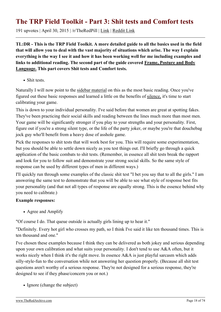#### <span id="page-17-0"></span>**The TRP Field Toolkit - Part 3: Shit tests and Comfort tests**

191 upvotes | April 30, 2015 | /r/TheRedPill | [Link](https://theredarchive.com/r/TheRedPill/the-trp-field-toolkit-part-3-shit-tests-and.32049) | [Reddit Link](https://old.reddit.com/r/TheRedPill/comments/34f6d2/the_trp_field_toolkit_part_3_shit_tests_and/)

**TL:DR - This is the TRP Field Toolkit. A more detailed guide to all the basics used in the field that will allow you to deal with the vast majority of situations which arise. The way I explain everything is the way I see it and how it has been working well for me including examples and links to additional reading. The second part of the guide covered [Frame, Posture and Body](https://archive.is/3Whmi) [Language.](https://archive.is/3Whmi) This part covers Shit tests and Comfort tests.**

• Shit tests.

Naturally I will now point to the [sidebar material](https://archive.is/xRnKI) on this as the most basic reading. Once you've figured out these basic responses and learned a little on the benefits of [silence,](https://archive.is/5xhbg) it's time to start calibrating your game.

This is down to your individual personality. I've said before that women are great at spotting fakes. They've been practicing their social skills and reading between the lines much more than most men. Your game will be significantly stronger if you play to your strengths and your personality. First, figure out if you're a strong silent type, or the life of the party joker, or maybe you're that douchebag jock guy who'll benefit from a heavy dose of asshole game.

Pick the responses to shit tests that will work best for you. This will require some experimentation, but you should be able to settle down nicely as you test things out. I'll briefly go through a quick application of the basic combats to shit tests. (Remember, in essence all shit tests break the rapport and look for you to follow suit and demonstrate your strong social skills. So the same style of response can be used by different types of men in different ways.)

I'll quickly run through some examples of the classic shit test "I bet you say that to all the girls." I am answering the same test to demonstrate that you will be able to see what style of response best fits your personality (and that not all types of response are equally strong. This is the essence behind why you need to calibrate.)

#### **Example responses:**

• Agree and Amplify

"Of course I do. That queue outside is actually girls lining up to hear it."

"Definitely. Every hot girl who crosses my path, so I think I've said it like ten thousand times. This is ten thousand and one."

I've chosen these examples because I think they can be delivered as both jokey and serious depending upon your own calibration and what suits your personality. I don't tend to use A&A often, but it works nicely when I think it's the right move. In essence A&A is just playful sarcasm which adds silly-style-fun to the conversation while not answering her question properly. (Because all shit test questions aren't worthy of a serious response. They're not designed for a serious response, they're designed to see if they phase/concern you or not.)

• Ignore (change the subject)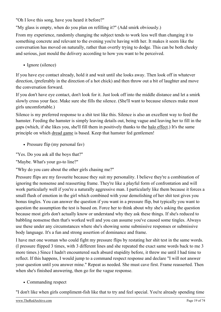"Oh I love this song, have you heard it before?"

"My glass is empty, when do you plan on refilling it?" (Add smirk obviously.)

From my experience, randomly changing the subject tends to work less well than changing it to something concrete and relevant to the evening you're having with her. It makes it seem like the conversation has moved on naturally, rather than overtly trying to dodge. This can be both cheeky and serious, just mould the delivery according to how you want to be perceived.

• Ignore (silence)

If you have eye contact already, hold it and wait until she looks away. Then look off in whatever direction, (preferably in the direction of a hot chick) and then throw out a bit of laughter and move the conversation forward.

If you don't have eye contact, don't look for it. Just look off into the middle distance and let a smirk slowly cross your face. Make sure she fills the silence. (She'll want to because silences make most girls uncomfortable.)

Silence is my preferred response to a shit test like this. Silence is also an excellent way to feed the hamster. Feeding the hamster is simply leaving details out, being vague and leaving her to fill in the gaps (which, if she likes you, she'll fill them in positively thanks to the [halo effect](http://bit.ly/1nRNrW5).) It's the same principle on which [dread game](https://theredarchive.com/redirect?l=therationalmale.com/2012/03/27/dread-games/) is based. Keep that hamster fed gentlemen!

• Pressure flip (my personal fav)

"Yes. Do you ask all the boys that?"

"Maybe. What's your go-to line?"

"Why do you care about the other girls chasing me?"

Pressure flips are my favourite because they suit my personality. I believe they're a combination of ignoring the nonsense and reasserting frame. They're like a playful form of confrontation and will work particularly well if you're a naturally aggressive man. I particularly like them because it forces a small flush of emotion in the girl which combined with your demolishing of her shit test gives you bonus tingles. You can answer the question if you want in a pressure flip, but typically you want to question the assumption the test is based on. Force her to think about why she's asking the question because most girls don't actually know or understand why they ask these things. If she's reduced to babbling nonsense then that's worked well and you can assume you've caused some tingles. Always use these under any circumstances where she's showing some submissive responses or submissive body language. It's a fun and strong assertion of dominance and frame.

I have met one woman who could fight my pressure flips by restating her shit test in the same words. (I pressure flipped 3 times, with 3 different lines and she repeated the exact same words back to me 3 more times.) Since I hadn't encountered such absurd stupidity before, it threw me until I had time to reflect. If this happens, I would jump to a command respect response and declare "I will not answer your question until you answer mine." Repeat as needed. She must cave first. Frame reasserted. Then when she's finished answering, then go for the vague response.

• Commanding respect

"I don't like when girls compliment-fish like that to try and feel special. You're already spending time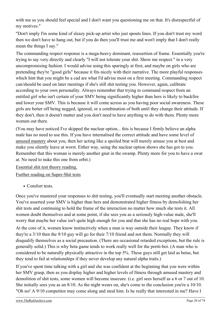with me so you should feel special and I don't want you questioning me on that. It's disrespectful of my motives."

"Don't imply I'm some kind of sleazy pick-up artist who just spouts lines. If you don't trust my word then we don't have to hang out, but if you do then you'll trust me and won't imply that I don't really mean the things I say."

The commanding respect response is a mega-heavy dominant, reassertion of frame. Essentially you're trying to say very directly and clearly "I will not tolerate your shit. Show me respect." in a very uncompromising fashion. I would advise using this sparingly at first, and maybe on girls who are pretending they're "good girls" because it fits nicely with their narrative. The more playful responses which hint that you might be a cad are what I'd advise most on a first meeting. Commanding respect can/should be used on later meetings if she's still shit testing you. However, again, calibrate according to your own personality. Always remember that trying to command respect from an entitled girl who isn't certain of your SMV being significantly higher than hers is likely to backfire and lower your SMV. This is because it will come across as you having poor social awareness. These girls are better off being negged, ignored, or a combination of both until they change their attitude. If they don't, then it doesn't matter and you don't need to have anything to do with them. Plenty more women out there.

(You may have noticed I've skipped the nuclear option... this is because I firmly believe an alpha male has no need to use this. If you have internalised the correct attitude and have some level of [amused mastery](https://theredarchive.com/redirect?l=therationalmale.com/2012/09/14/amused-mastery/) about you, then her acting like a spoiled brat will merely amuse you at best and make you silently leave at worst. Either way, using the nuclear option shows she has got to you. Remember that this woman is merely another gnat in the swamp. Plenty more for you to have a swat at. No need to nuke this one from orbit.)

[Essential shit test theory reading.](http://illimitablemen.com/2014/12/14/the-shit-test-encyclopedia/)

[Further reading on Super-Shit tests](https://theredarchive.com/redirect?l=heartiste.org/2013/06/25/compendium-of-female-super-shit-tests/)

• Comfort tests.

Once you've mastered your responses to shit testing, you'll eventually start meeting another obstacle. You've asserted your SMV is higher than hers and demonstrated higher fitness by demolishing her shit tests and continuing to hold the frame of the interaction no matter how much she tests it. All women doubt themselves and at some point, if she sees you as a seriously high-value male, she'll worry that maybe her value isn't quite high enough for you and that she has no real hope with you.

At the core of it, women know instinctively when a man is way outside their league. They know if they're a 3/10 then the 9/10 guy will go for their 7/10 friend and not them. Normally they will disqualify themselves as a social precaution. (There are occasional retarded exceptions, but the rule is generally solid.) This is why beta game tends to work really well for the pretti-boi. (A man who is considered to be naturally physically attractive in the top 5%. These guys still get laid as betas, but they tend to fail at relationships if they never develop any natural alpha traits.)

If you've spent time talking with a girl and she was confident at the beginning that you were within her SMV grasp, then as you display higher and higher levels of fitness through amused mastery and demolition of shit tests, some women will become insecure. (i.e. girl sees herself as a 6 or 7 out of 10. She initially sees you as an 8/10. As the night wears on, she's come to the conclusion you're a 10/10. "Oh no! A 9/10 competitor may come along and steal him. Is he really that interested in me? Have I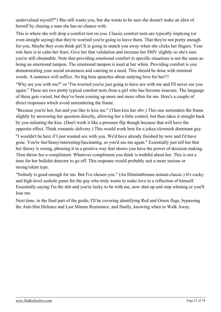undervalued myself?") She still wants you, but she wants to be sure she doesn't make an idiot of herself by chasing a man she has no chance with.

This is where she will drop a comfort test on you. Classic comfort tests are typically implying (or even straight saying) that they're worried you're going to leave them. That they're not pretty enough for you. Maybe they even think girl X is going to snatch you away when she clicks her fingers. Your role here is to calm her fears. Give her that validation and increase her SMV slightly so she's sure you're still obtainable. Note that providing emotional comfort in specific situations is not the same as being an emotional tampon. The emotional tampon is used at her whim. Providing comfort is you demonstrating your social awareness and catering to a need. This should be done with minimal words. A sentence will suffice. No big beta speeches about undying love for her!!!

"Why are you with me?" or "I'm worried you're just going to have sex with me and I'll never see you again." These are two pretty typical comfort tests from a girl who has become insecure. The language of these gets varied, but they've been coming up more and more often for me. Here's a couple of direct responses which avoid surrendering the frame.

"Because you're hot, fun and you like to kiss me." (Then kiss her obv.) This one surrenders the frame slightly by answering her question directly, allowing her a little control, but then takes it straight back by you initiating the kiss. (Don't work it like a pressure flip though because that will have the opposite effect. Think romantic delivery.) This would work best for a jokey/clownish dominant guy.

"I wouldn't be here if I just wanted sex with you. We'd have already finished by now and I'd have gone. You're fun/funny/interesting/fascinating, so you'd see me again." Essentially just tell her that her theory is wrong, phrasing it in a positive way that shows you have the power of decision making. Then throw her a compliment. Whatever compliment you think is truthful about her. This is not a time for her bullshit detector to go off. This response would probably suit a more serious or strong/silent type.

"Nobody is good enough for me. But I've chosen you." (An Illimitableman instant-classic.) It's cocky and high-level asshole game for the guy who truly wants to make love to a reflection of himself. Essentially saying I'm the shit and you're lucky to be with me, now shut up and stop whining or you'll lose me.

Next time, in the final part of the guide, I'll be covering identifying Red and Green flags, bypassing the Anti-Slut Defence and Last Minute Resistance, and finally, knowing when to Walk Away.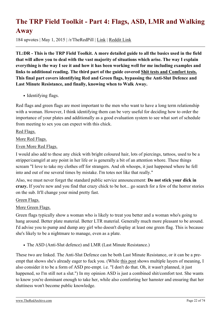## <span id="page-21-0"></span>**The TRP Field Toolkit - Part 4: Flags, ASD, LMR and Walking Away**

184 upvotes | May 1, 2015 | /r/TheRedPill | [Link](https://theredarchive.com/r/TheRedPill/the-trp-field-toolkit-part-4-flags-asd-lmr-and.32097) | [Reddit Link](https://old.reddit.com/r/TheRedPill/comments/34iz2q/the_trp_field_toolkit_part_4_flags_asd_lmr_and/)

**TL:DR - This is the TRP Field Toolkit. A more detailed guide to all the basics used in the field that will allow you to deal with the vast majority of situations which arise. The way I explain everything is the way I see it and how it has been working well for me including examples and links to additional reading. The third part of the guide covered [Shit tests and Comfort tests.](https://archive.is/e4s74) This final part covers identifying Red and Green flags, bypassing the Anti-Slut Defence and Last Minute Resistance, and finally, knowing when to Walk Away.**

• Identifying flags.

Red flags and green flags are most important to the men who want to have a long term relationship with a woman. However, I think identifying them can be very useful for deciding how to order the importance of your plates and additionally as a good evaluation system to see what sort of schedule from meeting to sex you can expect with this chick.

[Red Flags.](https://archive.is/inmjb)

[More Red Flags.](https://archive.is/eUSJE)

[Even More Red Flags.](https://theredarchive.com/redirect?l=returnofkings.com/58791/6-warning-signs-a-girl-isnt-worth-a-relationship)

I would also add to these any chick with bright coloured hair, lots of piercings, tattoos, used to be a stripper/camgirl at any point in her life or is generally a bit of an attention whore. These things scream "I love to take my clothes off for strangers. And oh whoops, it just happened where he fell into and out of me several times by mistake. I'm totes not like that really."

Also, we must never forget the standard public service announcement: **Do not stick your dick in crazy.** If you're new and you find that crazy chick to be hot... go search for a few of the horror stories on the sub. It'll change your mind pretty fast.

[Green Flags.](https://archive.is/XLkdt)

#### [More Green Flags.](https://archive.is/WZCN2)

Green flags typically show a woman who is likely to treat you better and a woman who's going to hang around. Better plate material. Better LTR material. Generally much more pleasant to be around. I'd advise you to pump and dump any girl who doesn't display at least one green flag. This is because she's likely to be a nightmare to manage, even as a plate.

The ASD (Anti-Slut defence) and LMR (Last Minute Resistance.)

These two are linked. The Anti-Slut Defence can be both Last Minute Resistance, or it can be a preempt that shows she's already eager to fuck you. (While [this post](https://archive.is/Ll6pG) shows multiple layers of meaning, I also consider it to be a form of ASD pre-empt. i.e. "I don't do that. Oh, it wasn't planned, it just happened, so I'm still not a slut.") In my opinion ASD is just a combined shit/comfort test. She wants to know you're dominant enough to take her, while also comforting her hamster and ensuring that her sluttiness won't become public knowledge.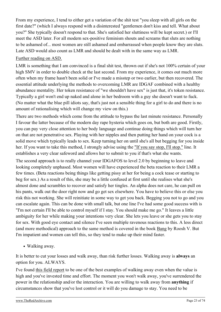From my experience, I tend to either get a variation of the shit test "you sleep with all girls on the first date?" (which I always respond with a disinterested "gentlemen don't kiss and tell. What about you?" She typically doesn't respond to that. She's satisfied her sluttiness will be kept secret.) or I'll meet the ASD later. For all modern sex-positive feminism shouts and screams that sluts are nothing to be ashamed of... most women are still ashamed and embarrassed when people know they are sluts. Late ASD would also count as LMR and should be dealt with in the same way as LMR.

#### [Further reading on ASD.](https://archive.is/VVckf)

LMR is something that I am convinced is a final shit test, thrown out if she's not 100% certain of your high SMV in order to double check at the last second. From my experience, it comes out much more often when my frame hasn't been solid or I've made a misstep or two earlier, but then recovered. The essential attitude underlying the methods to overcoming LMR are IDGAF combined with a healthy abundance mentality. Her token resistance of "we shouldn't have sex" is just that, it's token resistance. Typically a girl won't end up naked and alone in her bedroom with a guy she doesn't want to fuck. (No matter what the blue pill idiots say, that's just not a sensible thing for a girl to do and there is no amount of rationalising which will change my view on this.)

There are two methods which come from the attitude to bypass the last minute resistance. Personally I favour the latter because of the modern day rape hysteria which goes on, but both are good. Firstly, you can pay very close attention to her body language and continue doing things which will turn her on that are not penetrative sex. Playing with her nipples and then putting her hand on your cock is a solid move which typically leads to sex. Keep turning her on until she's all but begging for you inside her. If you want to take this method, I strongly advise using the ["If you say stop, I'll stop."](https://archive.is/A2cDh) line. It establishes a very clear safeword and allows her to submit to you if that's what she wants.

The second approach is to really channel your IDGAFOS to level 2.0 by beginning to leave and looking completely unphased. Most women will have experienced the beta reaction to their LMR a few times. (Beta reactions being things like getting pissy at her for being a cock tease or starting to beg for sex.) As a result of this, she may be a little confused at first until she realises what she's almost done and scrambles to recover and satisfy her tingles. An alpha does not care, he can pull on his pants, walk out the door right now and go get sex elsewhere. You have to believe this or else you risk this not working. She will reinitiate in some way to get you back. Begging you not to go and you can escalate again. This can be done with small talk, but one line I've had some good success with is "I'm not certain I'll be able to control myself if I stay. You should make me go." It leaves a little ambiguity for her while making your intentions very clear. She lets you leave or she gets you to stay for sex. With good eye contact and silence I've seen multiple ravenous reactions to this. A less direct (and more methodical) approach to the same method is covered in the book [Bang](http://www.bangguides.com/game/) by Roosh V. But I'm impatient and women can tell this, so they tend to make up their mind faster.

Walking away.

It is better to cut your losses and walk away, than risk further losses. Walking away is **always** an option for you. ALWAYS.

I've found [this field report](https://archive.is/4ncKk) to be one of the best examples of walking away even when the value is high and you've invested time and effort. The moment you won't walk away, you've surrendered the power in the relationship and/or the interaction. You are willing to walk away from **anything** if circumstances show that you've lost control or it will do you damage to stay. You need to be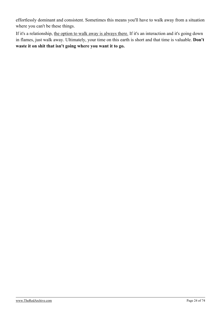effortlessly dominant and consistent. Sometimes this means you'll have to walk away from a situation where you can't be these things.

If it's a relationship, [the option to walk away is always there.](https://archive.is/nkakl) If it's an interaction and it's going down in flames, just walk away. Ultimately, your time on this earth is short and that time is valuable. **Don't waste it on shit that isn't going where you want it to go.**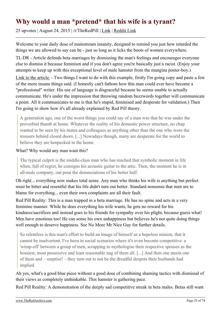#### <span id="page-24-0"></span>**Why would a man \*pretend\* that his wife is a tyrant?**

25 upvotes | August 24, 2015 | /r/TheRedPill | [Link](https://theredarchive.com/r/TheRedPill/why-would-a-man-pretend-that-his-wife-is-a-tyrant.35818) | [Reddit Link](https://old.reddit.com/r/TheRedPill/comments/3i71sr/why_would_a_man_pretend_that_his_wife_is_a_tyrant/)

Welcome to your daily dose of mainstream insanity, designed to remind you just how retarded the things we are allowed to say can be - just so long as it licks the boots of women everywhere.

TL:DR - Article defends beta marriages by dismissing the man's feelings and encourages everyone else to dismiss it because feminism and if you don't agree you're basically just a racist. (Enjoy your attempts to keep up with this exceptional level of male hamster from the mangina poster-boy.)

[Link to the article.](https://archive.is/6W6Zs) - Two things I want to do with this example, firstly I'm going copy and paste a few of the more insane things said. (I honestly can't fathom how this man could ever have become a "professional" writer. His use of language is disgraceful because he seems unable to actually communicate. He's under the impression that throwing random buzzwords together will communicate a point. All it communicates to me is that he's stupid, feminised and desperate for validation.) Then I'm going to show how it's all already explained by Red Pill theory.

A generation ago, one of the worst things you could say of a man was that he was under the proverbial thumb at home. Whatever the reality of his domestic power structure, no chap wanted to be seen by his mates and colleagues as anything other than the one who wore the trousers behind closed doors. [...] Nowadays though, many are desperate for the world to believe they are henpecked in the home.

#### What? Why would any man want this?

The typical culprit is the middle-class man who has reached that symbolic moment in life when, full of regret, he consigns his acoustic guitar to the attic. Then, the moment he is in all-male company, out pour the denunciations of his better half.

Oh right... everything now makes total sense. Any man who thinks his wife is anything but perfect must be bitter and resentful that his life didn't turn out better. Standard nonsense that men are to blame for everything... even their own complaints are all their fault.

Red Pill Reality: This is a man trapped in a beta marriage. He has no spine and acts in a very feminine manner. While he does everything his wife wants, he gets no reward for his kindness/sacrifices and instead goes to his friends for sympathy over his plight, because guess what! Men have emotions too! He can sense his own unhappiness but believes he's not quite doing things well enough to deserve happiness. See No More Mr Nice Guy for further details.

So relentless is this man's effort to build an image of himself as a hopeless minion, that it cannot be inadvertent. I've been in social scenarios where it's even become competitive: a 'wimp-off' between a group of men, scrapping to mythologise their respective spouses as the bossiest, most possessive and least reasonable nag of them all. [...] And then one meets one of them and – surprise! – they turn out to not be the dreadful despots their husbands had implied.

Ah yes, what's a good blue piece without a good dose of combining shaming tactics with dismissal of their views as completely unthinkable. This hamster is gathering pace.

Red Pill Reality: A demonstration of the deeply sad competitive streak in beta males. Betas still want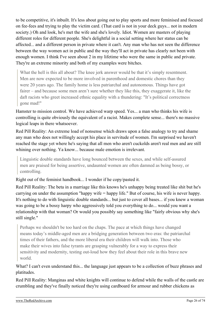to be competitive, it's inbuilt. It's less about going out to play sports and more feminised and focused on fee-fees and trying to play the victim card. (That card is not in your deck guys... not in modern society.) Oh and look, he's met the wife and she's lovely. Idiot. Women are masters of playing different roles for different people. She's delightful in a social setting where her status can be affected... and a different person in private where it can't. Any man who has not seen the difference between the way women act in public and the way they'll act in private has clearly not been with enough women. I think I've seen about 2 in my lifetime who were the same in public and private. They're an extreme minority and both of my examples were bitches.

What the hell is this all about? The knee jerk answer would be that it's simply resentment. Men are now expected to be more involved in parenthood and domestic chores than they were 20 years ago. The family home is less patriarchal and autonomous. Things have got fairer – and because some men aren't sure whether they like this, they exaggerate it, like the daft racists who greet increased ethnic equality with a thundering: "It's political correctness gone mad!"

Hamster to mission control. We have achieved warp speed. Yes... a man who thinks his wife is controlling is quite obviously the equivalent of a racist. Makes complete sense... there's no massive logical leaps in there whatsoever.

Red Pill Reality: An extreme load of nonsense which draws upon a false analogy to try and shame any man who does not willingly accept his place in servitude of women. I'm surprised we haven't reached the stage yet where he's saying that all men who aren't cuckolds aren't real men and are still whining over nothing. Ya know... because male emotion is irrelevant.

Linguistic double standards have long bounced between the sexes, and while self-assured men are praised for being assertive, undaunted women are often damned as being bossy, or controlling.

Right out of the feminist handbook... I wonder if he copy/pasted it.

Red Pill Reality: The beta in a marriage like this knows he's unhappy being treated like shit but he's carrying on under the assumption "happy wife = happy life." But of course, his wife is never happy. It's nothing to do with linguistic double standards... but just to cover all bases... if you knew a woman was going to be a bossy harpy who aggressively told you everything to do... would you want a relationship with that woman? Or would you possibly say something like "fairly obvious why she's still single."

Perhaps we shouldn't be too hard on the chaps. The pace at which things have changed means today's middle-aged men are a bridging generation between two eras: the patriarchal times of their fathers, and the more liberal era their children will walk into. Those who make their wives into false tyrants are grasping vulnerably for a way to express their sensitivity and modernity, testing out-loud how they feel about their role in this brave new world.

What? I can't even understand this... the language just appears to be a collection of buzz phrases and platitudes.

Red Pill Reality: Manginas and white knights will continue to defend while the walls of the castle are crumbling and they've finally noticed they're using cardboard for armour and rubber chickens as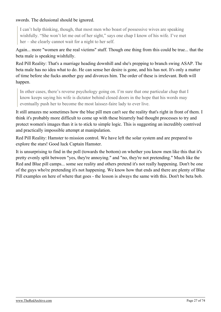#### swords. The delusional should be ignored.

I can't help thinking, though, that most men who boast of possessive wives are speaking wishfully. "She won't let me out of her sight," says one chap I know of his wife. I've met her – she clearly cannot wait for a night to her self.

Again... more "women are the real victims" stuff. Though one thing from this could be true... that the beta male is speaking wishfully.

Red Pill Reality: That's a marriage heading downhill and she's prepping to branch swing ASAP. The beta male has no idea what to do. He can sense her desire is gone, and his has not. It's only a matter of time before she fucks another guy and divorces him. The order of these is irrelevant. Both will happen.

In other cases, there's reverse psychology going on. I'm sure that one particular chap that I know keeps saying his wife is dictator behind closed doors in the hope that his words may eventually push her to become the most laissez-faire lady to ever live.

It still amazes me sometimes how the blue pill men can't see the reality that's right in front of them. I think it's probably more difficult to come up with these bizarrely bad thought processes to try and protect women's images than it is to stick to simple logic. This is suggesting an incredibly contrived and practically impossible attempt at manipulation.

Red Pill Reality: Hamster to mission control. We have left the solar system and are prepared to explore the stars! Good luck Captain Hamster.

It is unsurprising to find in the poll (towards the bottom) on whether you know men like this that it's pretty evenly split between "yes, they're annoying." and "no, they're not pretending." Much like the Red and Blue pill camps... some see reality and others pretend it's not really happening. Don't be one of the guys who're pretending it's not happening. We know how that ends and there are plenty of Blue Pill examples on here of where that goes - the lesson is always the same with this. Don't be beta bob.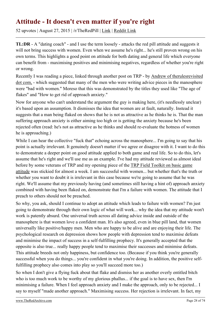## <span id="page-27-0"></span>**Attitude - It doesn't even matter if you're right**

52 upvotes | August 27, 2015 | /r/TheRedPill | [Link](https://theredarchive.com/r/TheRedPill/attitude-it-doesnt-even-matter-if-youre-right.35892) | [Reddit Link](https://old.reddit.com/r/TheRedPill/comments/3ildxy/attitude_it_doesnt_even_matter_if_youre_right/)

**TL:DR** - A "dating coach" - and I use the term loosely - attacks the red pill attitude and suggests it will not bring success with women. Even when we assume he's right... he's still proven wrong on his own terms. This highlights a good point on attitude for both dating and general life which everyone can benefit from - maximising positives and minimising negatives, regardless of whether you're right or wrong.

Recently I was reading a piece, linked through another post on TRP - by [Andrew of therulesrevisited](https://archive.is/fcgiD) [dot com,](https://archive.is/fcgiD) - which suggested that many of the men who were writing advice pieces in the manosphere were "bad with women." Moreso that this was demonstrated by the titles they used like "The age of flakes" and "How to get rid of approach anxiety."

Now for anyone who can't understand the argument the guy is making here, (it's needlessly unclear) it's based upon an assumption. It dismisses the idea that women are at fault, naturally. Instead it suggests that a man being flaked on shows that he is not as attractive as he thinks he is. That the man suffering approach anxiety is either aiming too high or is getting the anxiety because he's been rejected often (read: he's not as attractive as he thinks and should re-evaluate the hotness of women he is approaching.)

While I can hear the collective "fuck that" echoing across the manosphere... I'm going to say that his point is actually irrelevant. It genuinely doesn't matter if we agree or disagree with it. I want to do this to demonstrate a deeper point on good attitude applied to both game and real life. So to do this, let's assume that he's right and we'll use me as an example. I've had my attitude reviewed as almost ideal before by some veterans of TRP and my opening piece of the [TRP Field Toolkit on basic game](https://archive.is/AKzLR) [attitude](https://archive.is/AKzLR) was stickied for almost a week. I am successful with women... but whether that's the truth or whether you want to doubt it is irrelevant in this case because we're going to assume that he was right. We'll assume that my previously having (and sometimes still having a hint of) approach anxiety combined with having been flaked on, demonstrate that I'm a failure with women. The attitude that I preach to others should not be preached.

So why, you ask, should I continue to adopt an attitude which leads to failure with women? I'm just going to demonstrate through their own logic of what will work... why the idea that my attitude won't work is patently absurd. One universal truth across all dating advice inside and outside of the manosphere is that women love a confident man. It's also agreed, even in blue pill land, that women universally like positive/happy men. Men who are happy to be alive and are enjoying their life. The psychological research on depression shows how people with depression tend to maximise defeats and minimise the impact of success in a self-fulfilling prophecy. It's generally accepted that the opposite is also true... really happy people tend to maximise their successes and minimise defeats. This attitude breeds not only happiness, but confidence too. (Because if you think you're generally successful when you do things... you're confident in what you're doing. In addition, the positive selffulfilling prophecy also comes into play so you'll succeed more too.)

So when I don't give a flying fuck about that flake and dismiss her as another overly entitled bitch who is too much work to be worthy of my glorious phallus... if the goal is to have sex, then I'm minimising a failure. When I feel approach anxiety and I make the approach, only to be rejected... I say to myself "made another approach." Maximising success. Her rejection is irrelevant. In fact, my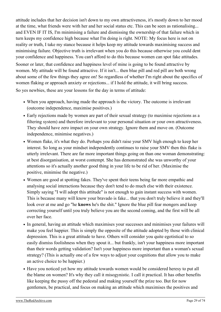attitude includes that her decision isn't down to my own attractiveness, it's mostly down to her mood at the time, what friends were with her and her social status etc. This can be seen as rationalising... and EVEN IF IT IS, I'm minimising a failure and dismissing the ownership of that failure which in turn keeps my confidence high because what I'm doing is right. NOTE: My focus here is not on reality or truth, I take my stance because it helps keep my attitude towards maximising success and minimising failure. Objective truth is irrelevant when you do this because otherwise you could dent your confidence and happiness. You can't afford to do this because women can spot fake attitudes.

Sooner or later, that confidence and happiness level of mine is going to be found attractive by women. My attitude will be found attractive. If it isn't... then blue pill and red pill are both wrong about some of the few things they agree on! So regardless of whether I'm right about the specifics of women flaking or approach anxiety or rejections... if I hold the attitude, it will bring success.

So yes newbies, these are your lessons for the day in terms of attitude:

- When you approach, having made the approach is the victory. The outcome is irrelevant (outcome independence, maximise positives.)
- Early rejections made by women are part of their sexual strategy (to maximise rejections as a filtering system) and therefore irrelevant to your personal situation or your own attractiveness. They should have zero impact on your own strategy. Ignore them and move on. (Outcome independence, minimise negatives.)
- Women flake, it's what they do. Perhaps you didn't raise your SMV high enough to keep her interest. So long as your mindset independently continues to raise your SMV then this flake is utterly irrelevant. There are far more important things going on than one woman demonstrating: at best disorganisation, at worst contempt. She has demonstrated she was unworthy of your attentions so it's actually another good thing in your life to be rid of her. (Maximise the positive, minimise the negative.)
- Women are good at spotting fakes. They've spent their teens being far more empathic and analysing social interactions because they don't tend to do much else with their existence. Simply saying "I will adopt this attitude" is not enough to gain instant success with women. This is because many will know your bravado is fake... that you don't truly believe it and they'll look over at me and go "he **knows** he's the shit." Ignore the blue pill fear mongers and keep correcting yourself until you truly believe you are the second coming, and the first will be all over her face.
- In general, having an attitude which maximises your successes and minimises your failures will make you feel happier. This is simply the opposite of the attitude adopted by those with clinical depression. This is a great attitude to have. Others will consider you quite egotistical to so easily dismiss foolishness when they spout it... but frankly, isn't your happiness more important than their words getting validation? Isn't your happiness more important than a woman's sexual strategy? (This is actually one of a few ways to adjust your cognitions that allow you to make an active choice to be happier.)
- Have you noticed yet how my attitude towards women would be considered heresy to put all the blame on women? It's why they call it misogynistic. I call it practical. It has other benefits like keeping the pussy off the pedestal and making yourself the prize too. But for now gentlemen, be practical, and focus on making an attitude which maximises the positives and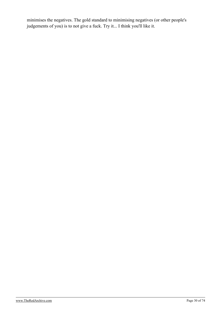minimises the negatives. The gold standard to minimising negatives (or other people's judgements of you) is to not give a fuck. Try it... I think you'll like it.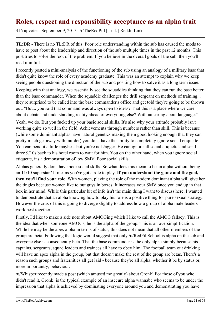#### <span id="page-30-0"></span>**Roles, respect and responsibility acceptance as an alpha trait**

316 upvotes | September 9, 2015 | /r/TheRedPill | [Link](https://theredarchive.com/r/TheRedPill/roles-respect-and-responsibility-acceptance-as-an.36244) | [Reddit Link](https://old.reddit.com/r/TheRedPill/comments/3k8uxw/roles_respect_and_responsibility_acceptance_as_an/)

**TL:DR** - There is no TL:DR of this. Poor role understanding within the sub has caused the mods to have to post about the leadership and direction of the sub multiple times in the past 12 months. This post tries to solve the root of the problem. If you believe in the overall goals of the sub, then you'll read it in full.

I recently posted a [mini-analysis](https://archive.is/ktG5K) of the functioning of the sub using an analogy of a military base that didn't quite know the role of every academy graduate. This was an attempt to explain why we keep seeing people questioning the direction of the sub and positing how to solve it as a long term issue.

Keeping with that analogy, we essentially see the squaddies thinking that they can run the base better than the base commander. When the squaddie challenges the drill sergeant on methods of training... they're surprised to be called into the base commander's office and get told they're going to be thrown out. "But... you said that command was always open to ideas? That this is a place where we care about debate and understanding reality ahead of everything else? Without caring about language?"

Yeah, we do. But you fucked up your basic social skills. It's also why your attitude probably isn't working quite so well in the field. Achievements through numbers rather than skill. This is because (while some dominant alphas have natural genetics making them good looking enough that they can pretty much get away with murder) you don't have the ability to completely ignore social etiquette. You can bend it a little maybe... but you're not Jagger. He can ignore all social etiquette and send three 9/10s back to his hotel room to wait for him. You on the other hand, when you ignore social etiquette, it's a demonstration of low SMV. Poor social skills.

Alphas generally don't have poor social skills. So what does this mean to be an alpha without being an 11/10 superstar? It means you've got a role to play. **If you understand the game and the goal, then you'll find your role.** With women, playing the role of the modern dominant alpha will give her the tingles because women like to put guys in boxes. It increases your SMV once you end up in that box in her mind. While this particular bit of info isn't the main thing I want to discuss here, I wanted to demonstrate that an alpha knowing how to play his role is a positive thing for pure sexual strategy. However the crux of this is going to diverge slightly to address how a group of alpha male leaders work best together.

Firstly, I'd like to make a side note about AMOGing which I like to call the AMOG fallacy. This is the idea that when someone AMOGs, he is the alpha of the group. This is an oversimplification. While he may be the apex alpha in terms of status, this does not mean that all other members of the group are beta. Following that logic would suggest that only [/u/RedPillSchool](https://theredarchive.com/u/RedPillSchool) is alpha on the sub and everyone else is consequently beta. That the base commander is the only alpha simply because his captains, sergeants, squad leaders and trainees all have to obey him. The football team out drinking will have an apex alpha in the group, but that doesn't make the rest of the group are betas. There's a reason such groups and fraternities all get laid - because they're all alpha, whether it be by status or, more importantly, behaviour.

[/u/Whisper](https://theredarchive.com/u/Whisper) recently made a post (which amused me greatly) about Gronk! For those of you who didn't read it, Gronk! is the typical example of an insecure alpha wannabe who seems to be under the impression that alpha is achieved by dominating everyone around you and demonstrating you have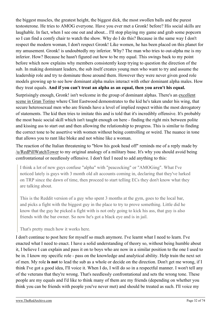the biggest muscles, the greatest height, the biggest dick, the most swollen balls and the purest testosterone. He tries to AMOG everyone. Have you ever met a Gronk! before? His social skills are laughable. In fact, when I see one out and about... I'll stop playing my game and grab some popcorn so I can find a comfy chair to watch the show. Why do I do this? Because in the same way I don't respect the modern woman, I don't respect Gronk! Like women, he has been placed on this planet for my amusement. Gronk! is undoubtedly my inferior. Why? The man who tries to out-alpha me is my inferior. How? Because he hasn't figured out how to be my equal. This swings back to my point before which now explains why members consistently keep trying to question the direction of the sub. In making dominant leaders, the sub itself creates young men who want to try and assume the leadership role and try to dominate those around them. However they were never given good role models growing up to see how dominant alpha males interact with other dominant alpha males. How they treat equals. **And if you can't treat an alpha as an equal, then you aren't his equal.**

Surprisingly enough, Gronk! isn't welcome in the group of dominant alphas. There's an [excellent](https://www.youtube.com/watch?v=VXD8yOxIPB0) [scene in Gran Torino](https://www.youtube.com/watch?v=VXD8yOxIPB0) where Clint Eastwood demonstrates to the kid he's taken under his wing, that secure heterosexual men who are friends have a level of implied respect within the most derogatory of statements. The kid then tries to imitate this and is told that it's incredibly offensive. It's probably the most basic social skill which isn't taught enough on here - finding the right mix between polite and kissing ass to start out and then allowing the relationship to progress. This is similar to finding the correct tone to be assertive with women without being controlling or weird. The nuance in tone that allows you to rant like bloke and not whine like a woman.

The reaction of the Italian threatening to "blow his gook head off" reminds me of a reply made by [/u/RedPillWatchTower](https://theredarchive.com/u/RedPillWatchTower) to my original analogy of a military base. It's why you should avoid being confrontational or needlessly offensive. I don't feel I need to add anything to this:

I think a lot of new guys confuse "alpha" with "peacocking" or "AMOGing". What I've noticed lately is guys with 3 month old alt accounts coming in, declaring that they've lurked on TRP since the dawn of time, then proceed to start telling ECs they don't know what they are talking about.

This is the Reddit version of a guy who spent 3 months at the gym, goes to the local bar, and picks a fight with the biggest guy in the place to try to prove something. Little did he know that the guy he picked a fight with is not only going to kick his ass, that guy is also friends with the bar owner. So now he's got a black eye and is in jail.

That's pretty much how it works here.

I don't continue to post here for myself so much anymore. I've learnt what I need to learn. I've enacted what I need to enact. I have a solid understanding of theory so, without being humble about it, I believe I can explain and pass it on to boys who are now in a similar position to the one I used to be in. I know my specific role - pass on the knowledge and analytical ability. Help train the next set of men. My role **is not** to lead the sub as a whole or decide on the direction. Don't get me wrong, if I think I've got a good idea, I'll voice it. When I do, I will do so in a respectful manner. I won't tell any of the veterans that they're wrong. That's needlessly confrontational and sets the wrong tone. These people are my equals and I'd like to think many of them are my friends (depending on whether you think you can be friends with people you've never met) and should be treated as such. I'll voice my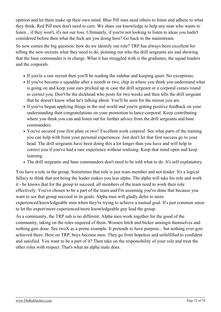opinion and let them make up their own mind. Blue Pill men need others to listen and adhere to what they think. Red Pill men don't need to care. We share our knowledge to help any man who wants to listen... if they won't, it's not our loss. Ultimately, if you're not looking to listen to ideas you hadn't considered before then what the fuck are you doing here? Go back to the mainstream.

So now comes the big question: how do we identify our role? TRP has always been excellent for telling the new recruits what they need to do, pointing out who the drill sergeants are and showing that the base commander is in charge. What it has struggled with is the graduates, the squad leaders and the corporals.

- If you're a raw recruit then you'll be reading the sidebar and keeping quiet. No exceptions.
- If you've become a squaddie after a month or two, chip in where you think you understand what is going on and keep your ears pricked up in case the drill sergeant or a corporal comes round to correct you. Don't be the dickhead who posts for two weeks and then tells the drill sergeant that he doesn't know what he's talking about. You'll be seen for the moron you are.
- If you've begun applying things in the real world and you're getting positive feedback on your understanding then congratulations on your promotion to lance-corporal. Keep contributing where you think you can and listen out for further advice from the drill sergeants and base commanders.
- You've secured your first plate or two? Excellent work corporal. See what parts of the training you can help with from your personal experiences. Just don't let that first success go to your head. The drill sergeants have been doing this a lot longer than you have and will help to correct you if you've had a rare experience without realising. Keep that mind open and keep learning.
- The drill sergeants and base commanders don't need to be told what to do. It's self explanatory.

You have a role in the group. Sometimes that role is just team member and not leader. It's a logical fallacy to think that not being the leader makes you less alpha. The alpha will take his role and work it - he knows that for the group to succeed, all members of the team need to work their role effectively. You've chosen to be a part of the team and I'm assuming you've done that because you want to see that group succeed in its goals. Alpha men will gladly defer to more experienced/knowledgeable men when they're trying to achieve a mutual goal. It's just common sense to let the expert/more experienced/more knowledgeable guy lead the group.

As a community, the TRP sub is no different. Alpha men work together for the good of the community, taking on the roles required of them. Women bitch and bicker amongst themselves and nothing gets done. See twoX as a prime example. It pretends to have purpose... but nothing ever gets achieved there. Here on TRP, boys become men. They go from hopeless and unfulfilled to confident and satisfied. You want to be a part of it? Then take on the responsibility of your role and treat the other roles with respect. That's what an alpha male does.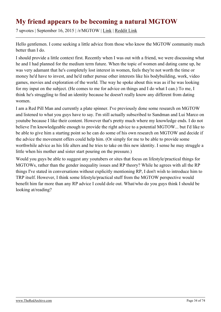#### <span id="page-33-0"></span>**My friend appears to be becoming a natural MGTOW**

7 upvotes | September 16, 2015 | /r/MGTOW | [Link](https://theredarchive.com/r/MGTOW/my-friend-appears-to-be-becoming-a-natural-mgtow.623524) | [Reddit Link](https://old.reddit.com/r/MGTOW/comments/3l6ydo/my_friend_appears_to_be_becoming_a_natural_mgtow/)

Hello gentlemen. I come seeking a little advice from those who know the MGTOW community much better than I do.

I should provide a little context first. Recently when I was out with a friend, we were discussing what he and I had planned for the medium term future. When the topic of women and dating came up, he was very adamant that he's completely lost interest in women, feels they're not worth the time or money he'd have to invest, and he'd rather pursue other interests like his bodybuilding, work, video games, movies and exploration of the world. The way he spoke about this was as if he was looking for my input on the subject. (He comes to me for advice on things and I do what I can.) To me, I think he's struggling to find an identity because he doesn't really know any different from dating women.

I am a Red Pill Man and currently a plate spinner. I've previously done some research on MGTOW and listened to what you guys have to say. I'm still actually subscribed to Sandman and Lui Marco on youtube because I like their content. However that's pretty much where my knowledge ends. I do not believe I'm knowledgeable enough to provide the right advice to a potential MGTOW... but I'd like to be able to give him a starting point so he can do some of his own research on MGTOW and decide if the advice the movement offers could help him. (Or simply for me to be able to provide some worthwhile advice as his life alters and he tries to take on this new identity. I sense he may struggle a little when his mother and sister start pouring on the pressure.)

Would you guys be able to suggest any youtubers or sites that focus on lifestyle/practical things for MGTOWs, rather than the gender inequality issues and RP theory? While he agrees with all the RP things I've stated in conversations without explicitly mentioning RP, I don't wish to introduce him to TRP itself. However, I think some lifestyle/practical stuff from the MGTOW perspective would benefit him far more than any RP advice I could dole out. What/who do you guys think I should be looking at/reading?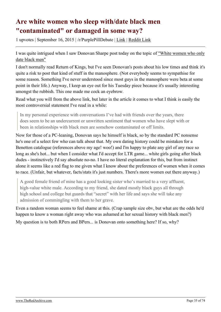## <span id="page-34-0"></span>**Are white women who sleep with/date black men "contaminated" or damaged in some way?**

1 upvotes | September 16, 2015 | /r/PurplePillDebate | [Link](https://theredarchive.com/r/PurplePillDebate/are-white-women-who-sleep-withdate-black-men.279568) | [Reddit Link](https://old.reddit.com/r/PurplePillDebate/comments/3l8how/are_white_women_who_sleep_withdate_black_men/)

I was quite intrigued when I saw Donovan Sharpe post today on the topic of ["White women who only](https://theredarchive.com/redirect?l=returnofkings.com/70903/the-phenomenon-of-white-women-who-only-date-black-men) [date black men"](https://theredarchive.com/redirect?l=returnofkings.com/70903/the-phenomenon-of-white-women-who-only-date-black-men)

I don't normally read Return of Kings, but I've seen Donovan's posts about his low times and think it's quite a risk to post that kind of stuff in the manosphere. (Not everybody seems to sympathise for some reason. Something I've never understood since most guys in the manosphere were beta at some point in their life.) Anyway, I keep an eye out for his Tuesday piece because it's usually interesting amongst the rubbish. This one made me cock an eyebrow.

Read what you will from the above link, but later in the article it comes to what I think is easily the most controversial statement I've read in a while:

In my personal experience with conversations I've had with friends over the years, there does seem to be an undercurrent or unwritten sentiment that women who have slept with or been in relationships with black men are somehow contaminated or off limits.

Now for those of a PC-leaning, Donovan says he himself is black, so by the standard PC nonsense he's one of a select few who can talk about that. My own dating history could be mistaken for a Benetton catalogue (references above my age! woo!) and I'm happy to plate any girl of any race so long as she's hot... but when I consider what I'd accept for LTR game... white girls going after black dudes - instinctively I'd say absolute no-no. I have no literal explanation for this, but from instinct alone it seems like a red flag to me given what I know about the preferences of women when it comes to race. (Unfair, but whatever, facts/stats it's just numbers. There's more women out there anyway.)

A good female friend of mine has a good looking sister who's married to a very affluent, high-value white male. According to my friend, she dated mostly black guys all through high school and college but guards that "secret" with her life and says she will take any admission of commingling with them to her grave.

Even a random woman seems to feel shame at this. (Crap sample size obv, but what are the odds he'd happen to know a woman right away who was ashamed at her sexual history with black men?)

My question is to both RPers and BPers... is Donovan onto something here? If so, why?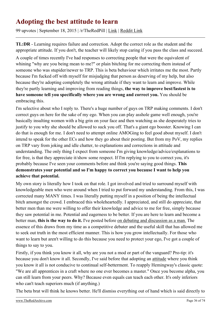#### <span id="page-35-0"></span>**Adopting the best attitude to learn**

99 upvotes | September 18, 2015 | /r/TheRedPill | [Link](https://theredarchive.com/r/TheRedPill/adopting-the-best-attitude-to-learn.36522) | [Reddit Link](https://old.reddit.com/r/TheRedPill/comments/3lfpzn/adopting_the_best_attitude_to_learn/)

**TL:DR** - Learning requires failure and correction. Adopt the correct role as the student and the appropriate attitude. If you don't, the teacher will likely stop caring if you pass the class and succeed.

A couple of times recently I've had responses to correcting people that were the equivalent of whining "why are you being mean to me?" or plain bitching for me correcting them instead of someone who was stupider/newer to TRP. This is beta behaviour which irritates me the most. Partly because I'm fucked off with myself for misjudging that person as deserving of my help, but also because they're adopting completely the wrong attitude if they want to learn and improve. While they're partly learning and improving from reading things, **the way to improve best/fastest is to have someone tell you specifically where you are wrong and correct you.** You should be embracing this.

I'm selective about who I reply to. There's a huge number of guys on TRP making comments. I don't correct guys on here for the sake of my ego. When you can play asshole game well enough, you're basically insulting women with a big grin on your face and then watching as she desperately tries to justify to you why she should be allowed to suck you off. That's a giant ego booster. Knowing I can do that is enough for me. I don't need to attempt online AMOGing to feel good about myself. I don't intend to speak for the other ECs and how they go about their posting. But from my PoV, my replies on TRP vary from joking and idle chatter, to explanations and corrections in attitude and understanding. The only thing I expect from someone I'm giving knowledge/advice/explanations to for free, is that they appreciate it/show some respect. If I'm replying to you to correct you, it's probably because I've seen your comments before and think you're saying good things. **This demonstrates your potential and so I'm happy to correct you because I want to help you achieve that potential.**

My own story is literally how I took on that role. I got involved and tried to surround myself with knowledgeable men who were around when I tried to put forward my understanding. From this, I was corrected many MANY times. I was literally putting myself in a position of being the intellectual bitch amongst the crowd. I embraced this wholeheartedly. I appreciated, and still do appreciate, that better men than me were willing to offer their knowledge and advice to me for free, simply because they saw potential in me. Potential and eagerness to be better. If you are here to learn and become a better man, **this is the way to do it.** I've posted before [on debating and discussion as a man.](https://archive.is/U3Xw7) The essence of this draws from my time as a competitive debater and the useful skill that has allowed me to seek out truth in the most efficient manner. This is how you grow intellectually. For those who want to learn but aren't willing to do this because you need to protect your ego, I've got a couple of things to say to you.

Firstly, if you think you know it all, why are you not a mod or part of the vanguard? Pro-tip: it's because you don't know it all. Secondly, I've said before that adopting an [attitude](https://archive.is/rt1hi) where you think you know it all is not conducive to continual self-betterment. To reapply Hemingway's classic quote: "We are all apprentices in a craft where no one ever becomes a master." Once you become alpha, you can still learn from your peers. Why? Because even equals can teach each other. It's only inferiors who can't teach superiors much (if anything.)

The beta brat will think he knows better. He'll dismiss everything out of hand which is said directly to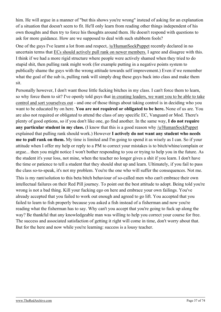him. He will argue in a manner of "but this shows you're wrong" instead of asking for an explanation of a situation that doesn't seem to fit. He'll only learn from reading other things independent of his own thoughts and then try to force his thoughts around them. He doesn't respond with questions to ask for more guidance. How are we supposed to deal with such stubborn fools?

One of the guys I've learnt a lot from and respect, [/u/HumanSockPuppet](https://theredarchive.com/u/HumanSockPuppet) recently declared in no uncertain terms that [ECs should actively pull rank on newer members.](https://archive.is/6kibN) I agree and disagree with this. I think if we had a more rigid structure where people were actively shamed when they tried to do stupid shit, then pulling rank might work (for example putting in a negative points system to publically shame the guys with the wrong attitude towards self improvement.) Even if we remember what the goal of the sub is, pulling rank will simply drag these guys back into class and make them sit.

Personally however, I don't want those little fucking bitches in my class. I can't force them to learn, so why force them to sit? I've openly told guys that [in creating leaders, we want you to be able to take](https://archive.is/sebqm) [control and sort yourselves out](https://archive.is/sebqm) - and one of those things about taking control is in deciding who you want to be educated by on here. **You are not required or obligated to be here.** None of us are. You are also not required or obligated to attend the class of any specific EC, Vanguard or Mod. There's plenty of good options, so if you don't like one, go find another. In the same way, **I do not require any particular student in my class.** (I know that this is a good reason why [/u/HumanSockPuppet](https://theredarchive.com/u/HumanSockPuppet) explained that pulling rank should work.) However **I actively do not want any student who needs me to pull rank on them.** My time is limited and I'm going to spend it as wisely as I can. So if your attitude when I offer my help or reply to a PM to correct your mistakes is to bitch/whine/complain or argue... then you might notice I won't bother responding to you or trying to help you in the future. As the student it's your loss, not mine, when the teacher no longer gives a shit if you learn. I don't have the time or patience to tell a student that they should shut up and learn. Ultimately, if you fail to pass the class so-to-speak, it's not my problem. You're the one who will suffer the consequences. Not me.

This is my rant/solution to this beta bitch behaviour of so-called men who can't embrace their own intellectual failures on their Red Pill journey. To point out the best attitude to adopt. Being told you're wrong is not a bad thing. Kill your fucking ego on here and embrace your own failings. You've already accepted that you failed to work out enough and agreed to go lift. You accepted that you failed to learn to fish properly because you asked a fish instead of a fisherman and now you're reading what the fisherman has to say. Why can't you accept that you're going to fuck up along the way? Be thankful that any knowledgeable man was willing to help you correct your course for free. The success and associated satisfaction of getting it right will come in time, don't worry about that. But for the here and now while you're learning: success is a lousy teacher.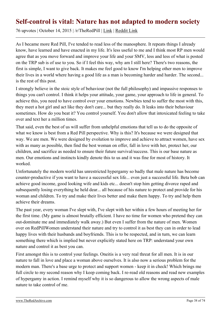### **Self-control is vital: Nature has not adapted to modern society**

76 upvotes | October 14, 2015 | /r/TheRedPill | [Link](https://theredarchive.com/r/TheRedPill/self-control-is-vital-nature-has-not-adapted-to.37183) | [Reddit Link](https://old.reddit.com/r/TheRedPill/comments/3oqd3f/selfcontrol_is_vital_nature_has_not_adapted_to/)

As I became more Red Pill, I've tended to read less of the manosphere. It repeats things I already know, have learned and have enacted in my life. It's less useful to me and I think most RP men would agree that as you move forward and improve your life and your SMV, less and less of what is posted on the TRP sub is of use to you. So if I feel this way, why am I still here? There's two reasons, the first is simple, I want to give back. It makes me feel good to know I'm helping other men to improve their lives in a world where having a good life as a man is becoming harder and harder. The second... is the rest of this post.

I strongly believe in the stoic style of behaviour (not the full philosophy) and impassive responses to things you can't control. I think it helps your attitude, your game, your approach to life in general. To achieve this, you need to have control over your emotions. Newbies tend to suffer the most with this, they meet a hot girl and act like they don't care... but they really do. It leaks into their behaviour sometimes. How do you beat it? You control yourself. You don't allow that intoxicated feeling to take over and text her a million times.

That said, even the best of us will suffer from unhelpful emotions that tell us to do the opposite of what we know is best from a Red Pill perspective. Why is this? It's because we were designed that way. We are men. We were designed by evolution to improve and achieve to attract women, have sex with as many as possible, then find the best woman on offer, fall in love with her, protect her, our children, and sacrifice as needed to ensure their future survival/success. This is our base nature as men. Our emotions and instincts kindly denote this to us and it was fine for most of history. It worked.

Unfortunately the modern world has unrestricted hypergamy so badly that male nature has become counter-productive if you want to have a successful sex life... even just a successful life. Beta bob can achieve good income, good looking wife and kids etc... doesn't stop him getting divorce raped and subsequently losing everything he held dear... all because of his nature to protect and provide for his woman and children. To try and make their lives better and make them happy. To try and help them achieve their dreams.

The past year, every woman I've slept with, I've slept with her within a few hours of meeting her for the first time. (My game is almost brutally efficient. I have no time for women who pretend they can out-dominate me and immediately walk away.) But even I suffer from the nature of men. Women over on RedPillWomen understand their nature and try to control it as best they can in order to lead happy lives with their husbands and boyfriends. This is to be respected, and in turn, we can learn something there which is implied but never explicitly stated here on TRP: understand your own nature and control it as best you can.

First amongst this is to control your feelings. Oneitis is a very real threat for all men. It is in our nature to fall in love and place a woman above ourselves. It is also now a serious problem for the modern man. There's a base urge to protect and support women - keep it in check! Which brings me full circle to my second reason why I keep coming back. I re-read old reasons and read new examples of hypergamy in action. I remind myself why it is so dangerous to allow the wrong aspects of male nature to take control of me.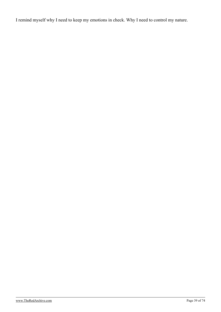I remind myself why I need to keep my emotions in check. Why I need to control my nature.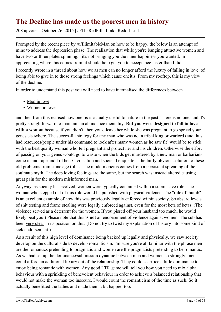## **The Decline has made us the poorest men in history**

208 upvotes | October 26, 2015 | /r/TheRedPill | [Link](https://theredarchive.com/r/TheRedPill/the-decline-has-made-us-the-poorest-men-in-history.37556) | [Reddit Link](https://old.reddit.com/r/TheRedPill/comments/3qb6or/the_decline_has_made_us_the_poorest_men_in_history/)

Prompted by the recent piece by [/u/IllimitableMan](https://theredarchive.com/u/IllimitableMan) on how to be happy, the below is an attempt of mine to address the depression phase. The realisation that while you're banging attractive women and have two or three plates spinning... it's not bringing you the inner happiness you wanted. In appreciating where this comes from, it should help get you to acceptance faster than I did.

I recently wrote in a thread about how we as men can no longer afford the luxury of falling in love, of being able to give in to those strong feelings which cause oneitis. From my rooftop, this is my view of the decline.

In order to understand this post you will need to have internalised the differences between

- [Men in love](https://theredarchive.com/redirect?l=therationalmale.com/2012/09/10/men-in-love/)
- [Women in love](https://theredarchive.com/redirect?l=therationalmale.com/2011/12/27/women-in-love/)

and then from this realised how oneitis is actually useful to nature in the past. There is no one, and it's pretty straightforward to maintain an abundance mentality. **But you were designed to fall in love with a woman** because if you didn't, then you'd leave her while she was pregnant to go spread your genes elsewhere. The successful strategy for any man who was not a tribal king or warlord (and thus had resources/people under his command to look after many women as he saw fit) would be to stick with the best quality woman who fell pregnant and protect her and his children. Otherwise the effort of passing on your genes would go to waste when the kids get murdered by a new man or barbarians come in and rape and kill her. Civilisation and societal etiquette is the fairly obvious solution to these old problems from stone age tribes. The modern oneitis comes from a persistent spreading of the soulmate myth. The deep loving feelings are the same, but the search was instead altered causing great pain for the modern misinformed man.

Anyway, as society has evolved, women were typically contained within a submissive role. The woman who stepped out of this role would be punished with physical violence. The "rule of [thumb"](https://en.wikipedia.org/wiki/Rule_of_thumb#Thumb_used_for_abuse) is an excellent example of how this was previously legally enforced within society. So absurd levels of shit testing and frame stealing were legally enforced against, even for the most beta of betas. (The violence served as a deterrent for the women. If you pissed off your husband too much, he would likely beat you.) Please note that this **is not** an endorsement of violence against women. The sub has been [very clear](https://archive.is/x2CMA) in its position on this. (Do not try to twist my explanation of history into some kind of sick endorsement.)

As a result of this high level of dominance being backed up legally and physically, we saw society develop on the cultural side to develop romanticism. I'm sure you're all familiar with the phrase men are the romantics pretending to pragmatic and women are the pragmatists pretending to be romantic. As we had set up the dominance/submission dynamic between men and women so strongly, men could afford an additional luxury out of the relationship. They could sacrifice a little dominance to enjoy being romantic with women. Any good LTR game will tell you how you need to mix alpha behaviour with a sprinkling of benevolent behaviour in order to achieve a balanced relationship that would not make the woman too insecure. I would count the romanticism of the time as such. So it actually benefitted the ladies and made them a bit happier too.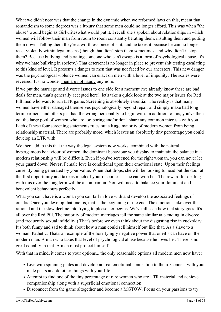What we didn't note was that the change in the dynamic when we reformed laws on this, meant that romanticism to some degrees was a luxury that some men could no longer afford. This was when "the abuse" would begin as Girlwriteswhat would put it. I recall she's spoken about relationships in which women will follow their man from room to room constantly berating them, insulting them and putting them down. Telling them they're a worthless piece of shit, and he takes it because he can no longer react violently within legal means (though that didn't stop them sometimes, and why didn't it stop them? Because bullying and berating someone who can't escape is a form of psychological abuse. It's why we hate bullying in society.) That deterrent is no longer in place to prevent shit testing escalating to this kind of level. It presents a danger to men that was not faced by our ancestors. This new danger was the psychological violence women can enact on men with a level of impunity. The scales were reversed. It's no wonder [men are not happy](https://archive.is/qMOun) anymore.

If we put the marriage and divorce issues to one side for a moment (we already know these are bad deals for men, that's generally accepted here), let's take a quick look at the two major issues for Red Pill men who want to run LTR game. Screening is absolutely essential. The reality is that many women have either damaged themselves psychologically beyond repair and simply make bad long term partners, and others just had the wrong personality to begin with. In addition to this, you've then got the large pool of women who are too boring and/or don't share any common interests with you. Each of these four screening statements rules out a **huge** majority of modern women from being relationship material. There are probably more, which leaves an absolutely tiny percentage you could develop an LTR with.

We then add to this that the way the legal system now works, combined with the natural hypergamous behaviour of women, the dominant behaviour you display to maintain the balance in a modern relationship will be difficult. Even if you've screened for the right woman, you can never let your guard down. **Never.** Female love is conditional upon their emotional state. Upon their feelings currently being generated by your value. When that drops, she will be looking to head out the door at the first opportunity and take as much of your resources as she can with her. The reward for dealing with this over the long term will be a companion. You will need to balance your dominant and benevolent behaviours perfectly.

What you can't have is a woman you can fall in love with and develop the associated feelings of oneitis. Once you develop that oneitis, that is the beginning of the end. The emotions take over the rational and the slow decline into trying to please her begins. We've all seen how that story goes. It's all over the Red Pill. The majority of modern marriages tell the same similar tale ending in divorce (and frequently sexual infidelity.) That's before we even think about the disgusting rise in cuckoldry. It's both funny and sad to think about how a man could sell himself out like that. As a slave to a woman. Pathetic. That's an example of the horrifyingly negative power that oneitis can have on the modern man. A man who takes that level of psychological abuse because he loves her. There is no great equality in that. A man must protect himself.

With that in mind, it comes to your options... the only reasonable options all modern men now have:

- Live with spinning plates and develop no real emotional connection to them. Connect with your male peers and do other things with your life.
- Attempt to find one of the tiny percentage of rare women who are LTR material and achieve companionship along with a superficial emotional connection.
- Disconnect from the game altogether and become a MGTOW. Focus on your passions to try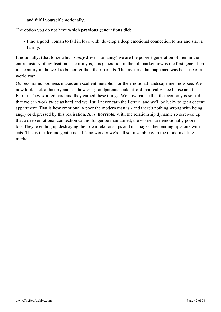and fulfil yourself emotionally.

The option you do not have **which previous generations did:**

Find a good woman to fall in love with, develop a deep emotional connection to her and start a family.

Emotionally, (that force which *really* drives humanity) we are the poorest generation of men in the entire history of civilisation. The irony is, this generation in the job market now is the first generation in a century in the west to be poorer than their parents. The last time that happened was because of a world war.

Our economic poorness makes an excellent metaphor for the emotional landscape men now see. We now look back at history and see how our grandparents could afford that really nice house and that Ferrari. They worked hard and they earned these things. We now realise that the economy is so bad... that we can work twice as hard and we'll still never earn the Ferrari, and we'll be lucky to get a decent appartment. That is how emotionally poor the modern man is - and there's nothing wrong with being angry or depressed by this realisation. *It. is.* **horrible.** With the relationship dynamic so screwed up that a deep emotional connection can no longer be maintained, the women are emotionally poorer too. They're ending up destroying their own relationships and marriages, then ending up alone with cats. This is the decline gentlemen. It's no wonder we're all so miserable with the modern dating market.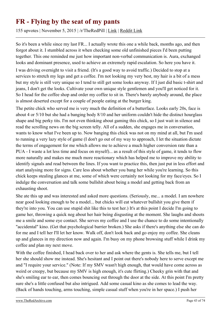## **FR - Flying by the seat of my pants**

155 upvotes | November 5, 2015 | /r/TheRedPill | [Link](https://theredarchive.com/r/TheRedPill/fr-flying-by-the-seat-of-my-pants.37868) | [Reddit Link](https://old.reddit.com/r/TheRedPill/comments/3rmq9a/fr_flying_by_the_seat_of_my_pants/)

So it's been a while since my last FR... I actually wrote this one a while back, months ago, and then forgot about it. I stumbled across it when checking some old unfinished pieces I'd been putting together. This one reminded me just how important non-verbal communication is. Aura, exchanged looks and dominant presence, used to achieve an extremely rapid escalation. So here you have it.

I was driving overnight to visit a friend. (It's a good way to avoid traffic.) Decided to stop at a services to stretch my legs and get a coffee. I'm not looking my very best, my hair is a bit of a mess but my style is still very unique so I tend to still get some looks anyway. If I just did basic t-shirt and jeans, I don't get the looks. Cultivate your own unique style gentlemen and you'll get noticed for it. So I head for the coffee shop and order my coffee to sit in. There's barely anybody around, the place is almost deserted except for a couple of people eating at the burger king.

The petite chick who served me is very much the definition of a butterface. Looks early 20s, face is about 4 or 5/10 but she had a banging body 8/10 and her uniform couldn't hide the distinct hourglass shape and big perky tits. I'm not even thinking about gaming this chick, so I just wait in silence and read the scrolling news on the big screen telly. All of a sudden, she engages me in conversation, wants to know what I've been up to. Now banging this chick was not on my mind at all, but I'm used to running a very lazy style of game (I don't go out of my way to approach, I let the situation dictate the terms of engagement for me which allows me to achieve a much higher conversion rate than a PUA - I waste a lot less time and focus on myself)... as a result of this style of game, it tends to flow more naturally and makes me much more reactionary which has helped me to improve my ability to identify signals and read between the lines. If you want to practice this, then just put in less effort and start analysing more for signs. Care less about whether you bang her while you're learning. So this chick keeps stealing glances at me, some of which were certainly not looking for my face/eyes. So I indulge the conversation and talk some bullshit about being a model and getting back from an exhausting shoot.

She ate this up and was interested and asked more questions. (Seriously, me... a model. I am nowhere near good looking enough to be a model... but chicks will eat whatever bullshit you give them if they're into you. You can use stupid shit like this to test her.) It's at this point I decide I'm going to game her, throwing a quick neg about her hair being disgusting at the moment. She laughs and shoots me a smile and some eye contact. She serves my coffee and I use the chance to do some intentionally "accidental" kino. (Get that psychological barrier broken.) She asks if there's anything else she can do for me and I tell her I'll let her know. Walk off, don't look back and go enjoy my coffee. She cleans up and glances in my direction now and again. I'm busy on my phone browsing stuff while I drink my coffee and plan my next move.

With the coffee finished, I head back over to her and ask where the gents is. She tells me, but I tell her she should show me instead. She's hesitant and I point out there's nobody here to serve except me and "I require your service." (Note: If my SMV wasn't high enough, that would have come across as weird or creepy, but because my SMV is high enough, it's cute flirting.) Cheeky grin with that and she's smiling ear to ear, then comes bouncing out through the door at the side. At this point I'm pretty sure she's a little confused but also intrigued. Add some casual kino as she comes to lead the way. (Back of hands touching, arms touching, simple casual stuff when you're in her space.) I push her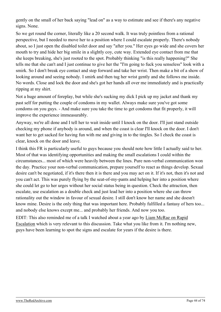gently on the small of her back saying "lead on" as a way to estimate and see if there's any negative signs. None.

So we get round the corner, literally like a 20 second walk. It was truly pointless from a rational perspective, but I needed to move her to a position where I could escalate properly. There's nobody about, so I just open the disabled toilet door and say "after you." Her eyes go wide and she covers her mouth to try and hide her big smile in a slightly coy, cute way. Extended eye contact from me that she keeps breaking, she's just rooted to the spot. Probably thinking "is this really happening?" She tells me that she can't and I just continue to give her the "I'm going to fuck you senseless" look with a smirk. So I don't break eye contact and step forward and take her wrist. Then make a bit of a show of looking around and seeing nobody. I smirk and then tug her wrist gently and she follows me inside. No words. Close and lock the door and she's got her hands all over me immediately and is practically ripping at my shirt.

Not a huge amount of foreplay, but while she's sucking my dick I pick up my jacket and thank my past self for putting the couple of condoms in my wallet. Always make sure you've got some condoms on you guys. - And make sure you take the time to get condoms that fit properly, it will improve the experience immeasurably.

Anyway, we're all done and I tell her to wait inside until I knock on the door. I'll just stand outside checking my phone if anybody is around, and when the coast is clear I'll knock on the door. I don't want her to get sacked for having fun with me and giving in to the tingles. So I check the coast is clear, knock on the door and leave.

I think this FR is particularly useful to guys because you should note how little I actually said to her. Most of that was identifying opportunities and making the small escalations I could within the circumstances... most of which were heavily between the lines. Pure non-verbal communication won the day. Practice your non-verbal communication, prepare yourself to react as things develop. Sexual desire can't be negotiated, if it's there then it is there and you may act on it. If it's not, then it's not and you can't act. This was purely flying by the seat-of-my-pants and helping her into a position where she could let go to her urges without her social status being in question. Check the attraction, then escalate, use escalation as a double check and just lead her into a position where she can throw rationality out the window in favour of sexual desire. I still don't know her name and she doesn't know mine. Desire is the only thing that was important here. Probably fulfilled a fantasy of hers too... and nobody else knows except me... and probably her friends. And now you too.

EDIT: This also reminded me of a talk I watched about a year ago by [Liam McRae on Rapid](https://www.youtube.com/watch?v=V3Z4Nq0OrrM) [Escalation](https://www.youtube.com/watch?v=V3Z4Nq0OrrM) which is very relevant to this discussion. Take what you like from it. I'm nothing new, guys have been learning to spot the signs and escalate for years if the desire is there.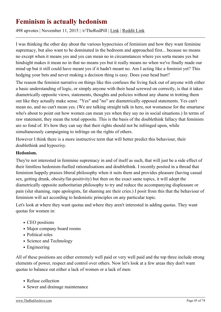## **Feminism is actually hedonism**

498 upvotes | November 11, 2015 | /r/TheRedPill | [Link](https://theredarchive.com/r/TheRedPill/feminism-is-actually-hedonism.38051) | [Reddit Link](https://old.reddit.com/r/TheRedPill/comments/3seini/feminism_is_actually_hedonism/)

I was thinking the other day about the various hypocrisies of feminism and how they want feminine supremacy, but also want to be dominated in the bedroom and approached first... because no means no except when it means yes and yes can mean no in circumstances where yes sorta means yes but hindsight makes it mean no in that no means yes but it really means no when we've finally made our mind up but it still could have meant yes if it hadn't meant no. Am I acting like a feminist yet? This hedging your bets and never making a decision thing is easy. Does your head hurt?

The reason the feminist narrative on things like this confuses the living fuck out of anyone with either a basic understanding of logic, or simply anyone with their head screwed on correctly, is that it takes diametrically opposite views, statements, thoughts and policies without any shame in trotting them out like they actually make sense. "Yes" and "no" are diametrically opposed statements. Yes can't mean no, and no can't mean yes. (We are talking straight talk in here, not womanese for the smartarse who's about to point out how women can mean yes when they say no in social situations.) In terms of raw statement, they mean the total opposite. This is the basis of the doublethink fallacy that feminists are so fond of. It's how they can say that their rights should not be infringed upon, while simultaneously campaigning to infringe on the rights of others.

However I think there is a more instructive term that will better predict this behaviour, their doublethink and hypocrisy.

#### **Hedonism.**

They're not interested in feminine supremacy in and of itself as such, that will just be a side effect of their limitless hedonism-fuelled rationalisations and doublethink. I recently posited in a thread that feminism happily praises liberal philosophy when it suits them and provides pleasure (having casual sex, getting drunk, obesity/fat-positivity) but then on the exact same topics, it will adopt the diametrically opposite authoritarian philosophy to try and reduce the accompanying displeasure or pain (slut shaming, rape apologists, fat shaming are their cries.) I posit from this that the behaviour of feminism will act according to hedonistic principles on any particular topic.

Let's look at where they want quotas and where they aren't interested in adding quotas. They want quotas for women in:

- CEO positions
- Major company board rooms
- Political roles
- Science and Technology
- Engineering

All of these positions are either extremely well paid or very well paid and the top three include strong elements of power, respect and control over others. Now let's look at a few areas they don't want quotas to balance out either a lack of women or a lack of men:

- Refuse collection
- Sewer and drainage maintenance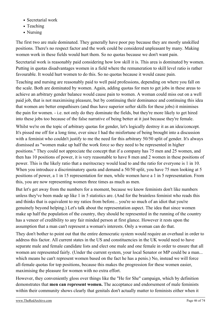- Secretarial work
- Teaching
- Nursing

The first two are male dominated. They generally have poor pay because they are mostly unskilled positions. There's no respect factor and the work could be considered unpleasant by many. Making women work in these fields would hurt them. So no quotas because we don't want pain.

Secretarial work is reasonably paid considering how low skill it is. This area is dominated by women. Putting in quotas disadvantages women in a field where the remuneration to skill level ratio is rather favourable. It would hurt women to do this. So no quotas because it would cause pain.

Teaching and nursing are reasonably paid to well paid professions, depending on where you fall on the scale. Both are dominated by women. Again, adding quotas for men to get jobs in these areas to achieve an arbitrary gender balance would cause pain to women. A woman could miss out on a well paid job, that is not maximising pleasure, but by continuing their dominance and continuing this idea that women are better empathisers (and thus have superior softer skills for these jobs) it minimises the pain for women. - i.e. not only do they dominate the fields, but they're more likely to get hired into these jobs too because of the false narrative of being better at it just because they're female.

Whilst we're on the topic of arbitrary quotas for gender, let's logically destroy it as an idea/concept. It's pissed me off for a long time, ever since I had the misfortune of being brought into a discussion with a feminist who couldn't justify to me the need for this arbitrary 50/50 split of gender. It's always dismissed as "women make up half the work force so they need to be represented in higher positions." They could not appreciate the concept that if a company has 75 men and 25 women, and then has 10 positions of power, it is very reasonable to have 8 men and 2 women in these positions of power. This is the likely ratio that a meritocracy would lead to and the ratio for everyone is 1 in 10. When you introduce a discriminatory quota and demand a 50/50 split, you have 75 men looking at 5 positions of power, a 1 in 15 representation for men, while women have a 1 in 5 representation. From this, you are now representing women three times as much as men.

But let's get away from the numbers for a moment, because we know feminists don't like numbers unless they've been made up like 1 in 5 statistics are. (And for the brainless feminist who reads this and thinks that is equivalent to my ratios from before... you're so much of an idiot that you're genuinely beyond helping.) Let's talk about the representation aspect. The idea that since women make up half the population of the country, they should be represented in the running of the country has a veneer of credibility to any fair minded person at first glance. However it rests upon the assumption that a man can't represent a woman's interests. Only a woman can do that.

They don't bother to point out that the entire democratic system would require an overhaul in order to address this factor. All current states in the US and constituencies in the UK would need to have separate male and female candidate lists and elect one male and one female in order to ensure that all women are represented fairly. (Under the current system, your local Senator or MP could be a man... which means he can't represent women based on the fact he has a penis.) No, instead we will force all-female quotas for top positions, because this makes the progression for these women easier, maximising the pleasure for women with no extra effort.

However, they conveniently gloss over things like the "He for She" campaign, which by definition demonstrates that **men can represent women.** The acceptance and endorsement of male feminists within their community shows clearly that genitals don't actually matter to feminists either when it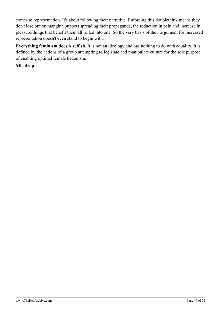comes to representation. It's about following their narrative. Enforcing this doublethink means they don't lose out on mangina puppets spreading their propaganda, the reduction in pain and increase in pleasure/things that benefit them all rolled into one. So the very basis of their argument for increased representation doesn't even stand to begin with.

**Everything feminism does is selfish.** It is not an ideology and has nothing to do with equality. It is defined by the actions of a group attempting to legislate and manipulate culture for the sole purpose of enabling optimal female hedonism.

**Mic drop.**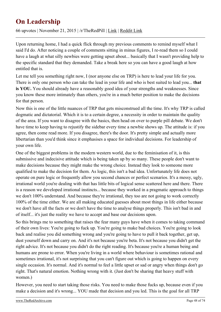## **On Leadership**

66 upvotes | November 21, 2015 | /r/TheRedPill | [Link](https://theredarchive.com/r/TheRedPill/on-leadership.38316) | [Reddit Link](https://old.reddit.com/r/TheRedPill/comments/3tqgms/on_leadership/)

Upon returning home, I had a quick flick through my previous comments to remind myself what I said I'd do. After noticing a couple of comments sitting in minus figures, I re-read them so I could have a laugh at what silly newbies were getting upset about... basically that I wasn't providing help to the specific standard that they demanded. Take a break here so you can have a good laugh at how entitled that is.

Let me tell you something right now, I (nor anyone else on TRP) is here to lead your life for you. There is only one person who can take the lead in your life and who is best suited to lead you... **that is YOU.** You should already have a reasonably good idea of your strengths and weaknesses. Since you know these more intimately than others, you're in a much better position to make the decisions for that person.

Now this is one of the little nuances of TRP that gets misconstrued all the time. It's why TRP is called dogmatic and dictatorial. Which it is to a certain degree, a necessity in order to maintain the quality of the area. If you want to disagree with the basics, then head on over to purple pill debate. We don't have time to keep having to rejustify the sidebar every time a newbie shows up. The attitude is: if you agree, then come read more. If you disagree, there's the door. It's pretty simple and actually more libertarian than you'd think since it emphasises a space for individual decisions. For leadership of your own life.

One of the biggest problems in the modern western world, due to the feminisation of it, is this submissive and indecisive attitude which is being taken up by so many. These people don't want to make decisions because they might make the wrong choice. Instead they look to someone more qualified to make the decision for them. As logic, this isn't a bad idea. Unfortunately life does not operate on pure logic or frequently allow you second chances or perfect scenarios. It's a messy, ugly, irrational world you're dealing with that has little bits of logical sense scattered here and there. There is a reason we developed irrational instincts... because they worked in a pragmatic approach to things we don't 100% understand. And because they're irrational, they too are not going to work correctly 100% of the time either. We are all making educated guesses about most things in life either because we don't have all the facts or we don't have the time to analyse things properly. This isn't bad in and of itself... it's just the reality we have to accept and base our decisions upon.

So this brings me to something that raises the fear many guys have when it comes to taking command of their own lives: You're going to fuck up. You're going to make bad choices. You're going to look back and realise you did something wrong and you're going to have to pull it back together, get up, dust yourself down and carry on. And it's not because you're beta. It's not because you didn't get the right advice. It's not because you didn't do the right reading. It's because you're a human being and humans are prone to error. When you're living in a world where behaviour is sometimes rational and sometimes irrational, it's not surprising that you can't figure out which is going to happen on every single occasion. It's normal. And it's normal to feel a little upset or sad or angry when things don't go right. That's natural emotion. Nothing wrong with it. (Just don't be sharing that heavy stuff with women.)

However, you need to start taking those risks. You need to make those fucks up, because even if you make a decision and it's wrong... YOU made that decision and you led. This is the goal for all TRP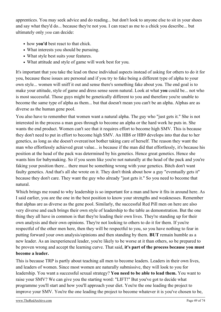apprentices. You may seek advice and do reading... but don't look to anyone else to sit in your shoes and say what they'd do... because they're not you. I can react as me to a chick you describe... but ultimately only *you* can decide:

- how **you'd** best react to that chick.
- What interests you should be pursuing.
- What style best suits your features.
- What attitude and style of game will work best for you.

It's important that you take the lead on these individual aspects instead of asking for others to do it for you, because these issues are personal and if you try to fake being a different type of alpha to your own style... women will sniff it out and sense there's something fake about you. The end goal is to make your attitude, style of game and dress sense seem natural. Look at what **you** could be... not who is most successful. Those guys might be genetically different to you and therefore you're unable to become the same type of alpha as them... but that doesn't mean you can't be an alpha. Alphas are as diverse as the human gene pool.

You also have to remember that women want a natural alpha. The guy who "just gets it." She is not interested in the process a man goes through to become an alpha or the hard work he puts in. She wants the end product. Women can't see that it requires effort to become high SMV. This is because they don't need to put in effort to become high SMV. An HB8 or HB9 develops into that due to her genetics, as long as she doesn't overeat/not bother taking care of herself. The reason they want the man who effortlessly achieved great value... is because if the man did that effortlessly, it's because his position at the head of the pack was determined by his genetics. Hence great genetics. Hence she wants him for babymaking. So if you seem like you're not naturally at the head of the pack and you're faking your position there... there must be something wrong with your genetics. Bitch don't want faulty genetics. And that's all she wrote on it. They don't think about how a guy "eventually gets it" because they don't care. They want the guy who already "just gets it." So you need to become that natural.

Which brings me round to why leadership is so important for a man and how it fits in around here. As I said earlier, you are the one in the best position to know your strengths and weaknesses. Remember that alphas are as diverse as the gene pool. Similarly, the successful Red Pill men on here are also very diverse and each brings their own style of leadership to the table as demonstration. But the one thing they all have in common is that they're leading their own lives. They're standing up for their own analysis and their own opinions. They're not looking to others to do it for them. If you're respectful of the other men here, then they will be respectful to you, so you have nothing to fear in putting forward your own analysis/opinions and then standing by them. **BUT** remain humble as a new leader. As an inexperienced leader, you're likely to be worse at it than others, so be prepared to be proven wrong and accept the learning curve. That said, **it's part of the process because you must become a leader.**

This is because TRP is partly about teaching all men to become leaders. Leaders in their own lives, and leaders of women. Since most women are naturally submissive, they will look to you for leadership. You want a successful sexual strategy? **You need to be able to lead them.** You want to raise your SMV? We can give you the starting word: "LIFT!" But you've got to decide what programme you'll start and how you'll approach your diet. You're the one leading the project to improve your SMV. You're the one leading the project to become whatever it is you've chosen to be,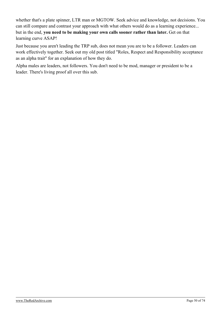whether that's a plate spinner, LTR man or MGTOW. Seek advice and knowledge, not decisions. You can still compare and contrast your approach with what others would do as a learning experience... but in the end, **you need to be making your own calls sooner rather than later.** Get on that learning curve ASAP!

Just because you aren't leading the TRP sub, does not mean you are to be a follower. Leaders can work effectively together. Seek out my old post titled "Roles, Respect and Responsibility acceptance as an alpha trait" for an explanation of how they do.

Alpha males are leaders, not followers. You don't need to be mod, manager or president to be a leader. There's living proof all over this sub.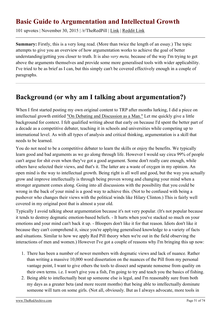## **Basic Guide to Argumentation and Intellectual Growth**

101 upvotes | November 30, 2015 | /r/TheRedPill | [Link](https://theredarchive.com/r/TheRedPill/basic-guide-to-argumentation-and-intellectual.38549) | [Reddit Link](https://old.reddit.com/r/TheRedPill/comments/3uvtcu/basic_guide_to_argumentation_and_intellectual/)

**Summary:** Firstly, this is a very long read. (More than twice the length of an essay.) The topic attempts to give you an overview of how argumentation works to achieve the goal of better understanding/getting you closer to truth. It is also *very meta,* because of the way I'm trying to get above the arguments themselves and provide some more generalised tools with wider applicability. I've tried to be as brief as I can, but this simply can't be covered effectively enough in a couple of paragraphs.

## **Background (or why am I talking about argumentation?)**

When I first started posting my own original content to TRP after months lurking, I did a piece on intellectual growth entitled ["On Debating and Discussion as a Man."](https://archive.is/TBsjp) Let me quickly give a little background for context. I felt qualified writing about that early on because I'd spent the better part of a decade as a competitive debater, teaching it in schools and universities while competing up to international level. As with all types of analysis and critical thinking, argumentation is a skill that needs to be learned.

You do not need to be a competitive debater to learn the skills or enjoy the benefits. We typically learn good and bad arguments as we go along through life. However I would say circa 99% of people can't argue for shit even when they've got a good argument. Some don't really care enough, while others have selected their views, and that's it. The latter are a waste of oxygen in my opinion. An open mind is the way to intellectual growth. Being right is all well and good, but the way you actually grow and improve intellectually is through being proven wrong and changing your mind when a stronger argument comes along. Going into all discussions with the possibility that you could be wrong in the back of your mind is a good way to achieve this. (Not to be confused with being a pushover who changes their views with the political winds like Hilary Clinton.) This is fairly well covered in my original post that is almost a year old.

Typically I avoid talking about argumentation because it's not very popular. (It's not popular because it tends to destroy dogmatic emotion-based beliefs. - It hurts when you've stacked so much on your emotions and your mind can't back it up. - Bloopers don't like it for that reason. Idiots don't like it because they can't comprehend it, since you're applying generalised knowledge to a variety of facts and situations. Similar to how we apply Red Pill theory when we're out in the field observing the interactions of men and women.) However I've got a couple of reasons why I'm bringing this up now:

- 1. There has been a number of newer members with dogmatic views and lack of nuance. Rather than writing a massive 10,000 word dissertation on the nuances of the Pill from my personal vantage point, I want to give others the tools to dissect and separate nonsense from quality on their own terms. i.e. I won't give you a fish, I'm going to try and teach you the basics of fishing.
- 2. Being able to intellectually beat up someone else is legal, and I'm reasonably sure from both my days as a greater beta (and more recent months) that being able to intellectually dominate someone will turn on some girls. (Not all, obviously. But as I always advocate, more tools in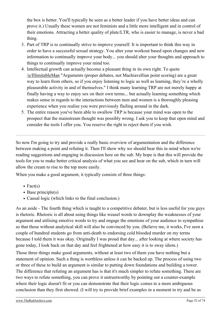the box is better. You'll typically be seen as a better leader if you have better ideas and can prove it.) Usually these women are not feminists and a little more intelligent and in control of their emotions. Attracting a better quality of plate/LTR, who is easier to manage, is never a bad thing.

- 3. Part of TRP is to continually strive to improve yourself. It is important to think this way in order to have a successful sexual strategy. You alter your workout based upon changes and new information to continually improve your body... you should alter your thoughts and approach to things to continually improve your mind too.
- 4. Intellectual growth can actually become a pleasant thing in its own right. To quote [/u/IllimitableMan](https://theredarchive.com/u/IllimitableMan) "Arguments (proper debates, not Machiavellian point scoring) are a great way to learn from others, so if you enjoy listening to logic as well as learning, they're a wholly pleasurable activity in and of themselves." I think many learning TRP are not merely happy at finally having a way to enjoy sex on their own terms... but actually learning something which makes sense in regards to the interactions between men and women is a thoroughly pleasing experience when you realise you were previously flailing around in the dark.
- 5. The entire reason you've been able to swallow TRP is because your mind was open to the prospect that the mainstream thought was possibly wrong. I ask you to keep that open mind and consider the tools I offer you. You reserve the right to reject them if you wish.

So now I'm going to try and provide a really basic overview of argumentation and the difference between making a point and refuting it. Then I'll show why we should bear this in mind when we're reading suggestions and engaging in discussion here on the sub. My hope is that this will provide the tools for you to make better critical analysis of what you see and hear on the sub, which in turn will allow the cream to rise to the top more easily.

When you make a good argument, it typically consists of three things:

- $\bullet$  Fact(s)
- $\bullet$  Base principle(s)
- Causal logic (which links to the final conclusion.)

As an aside - The fourth thing which is taught to a competitive debater, but is less useful for you guys is rhetoric. Rhetoric is all about using things like weasel words to downplay the weaknesses of your argument and utilising emotive words to try and engage the emotions of your audience to sympathise so that those without analytical skill will also be convinced by you. (Believe me, it works, I've seen a couple of hundred students go from anti-death to endorsing cold blooded murder on my terms because I told them it was okay. Originally I was proud that day... after looking at where society has gone today, I look back on that day and feel frightened at how easy it is to sway idiots.)

Those three things make good arguments, without at least two of them you have nothing but a statement of opinion. Such a thing is worthless unless it can be backed up. The process of using two or three of these to build an argument is similar to putting down foundations and building a tower. The difference that refuting an argument has is that it's much simpler to refute something. There are two ways to refute something, you can prove it untrustworthy by pointing out a counter-example where their logic doesn't fit or you can demonstrate that their logic comes to a more ambiguous conclusion than they first showed. (I will try to provide brief examples in a moment to try and be as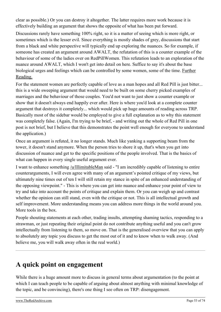clear as possible.) Or you can destroy it altogether. The latter requires more work because it is effectively building an argument that shows the opposite of what has been put forward.

Discussions rarely have something 100% right, so it is a matter of seeing which is more right, or sometimes which is the lesser evil. Since everything is mostly shades of grey, discussions that start from a black and white perspective will typically end up exploring the nuances. So for example, if someone has created an argument around AWALT, the refutation of this is a counter example of the behaviour of some of the ladies over on RedPillWomen. This refutation leads to an exploration of the nuance around AWALT, which I won't get into detail on here. Suffice to say it's about the base biological urges and feelings which can be controlled by some women, some of the time. [Further](https://archive.is/SOGwA) [Reading.](https://archive.is/SOGwA)

For the statement women are perfectly capable of love as a man hopes and all Red Pill is just bitter... this is a wide sweeping argument that would need to be built on some cherry picked examples of marriages and the behaviour of those couples. You'd not want to just show a counter example or show that it doesn't always end happily ever after. Here is where you'd look at a complete counter argument that destroys it completely... which would pick up huge amounts of reading across TRP. Basically most of the sidebar would be employed to give a full explanation as to why this statement was completely false. (Again, I'm trying to be brief, - and writing out the whole of Red Pill in one post is not brief, but I believe that this demonstrates the point well enough for everyone to understand the application.)

Once an argument is refuted, it no longer stands. Much like yanking a supporting beam from the tower, it doesn't stand anymore. When the person tries to shore it up, that's when you get into discussion of nuance and get to the specific positions of the people involved. That is the basics of what can happen in every single useful argument ever.

I want to enhance something [/u/IllimitableMan](https://theredarchive.com/u/IllimitableMan) said - "I am incredibly capable of listening to entire counterarguments, I will even agree with many of an argument's pointed critique of my views, but ultimately nine times out of ten I will still retain my stance in spite of an enhanced understanding of the opposing viewpoint." - This is where you can get into nuance and enhance your point of view to try and take into account the points of critique and explain them. Or you can weigh up and contrast whether the opinion can still stand, even with the critique or not. This is all intellectual growth and self improvement. More understanding means you can address more things in the world around you. More tools in the box.

People shouting statements at each other, trading insults, attempting shaming tactics, responding to a strawman, or just repeating their original point do not contribute anything useful and you can't grow intellectually from listening to them, so move on. That is the generalised overview that you can apply to absolutely any topic you discuss to get the most out of it and to know when to walk away. (And believe me, you will walk away often in the real world.)

## **A quick point on engagement**

While there is a huge amount more to discuss in general terms about argumentation (to the point at which I can teach people to be capable of arguing about almost anything with minimal knowledge of the topic, and be convincing), there's one thing I see often on TRP: disengagement.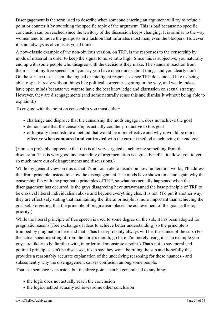Disengagement is the term used to describe when someone entering an argument will try to refute a point or counter it by switching the specific topic of the argument. This is bad because no specific conclusion can be reached since the territory of the discussion keeps changing. It is similar to the way women tend to move the goalposts in a fashion that infuriates most men, even the bloopers. However it is not always as obvious as you'd think.

A now-classic example of the non-obvious version, on TRP, is the responses to the censorship by mods of material in order to keep the signal to noise ratio high. Since this is subjective, you naturally end up with some people who disagree with the decisions they make. The standard reaction from them is "but my free speech" or "you say you have open minds about things and you clearly don't." On the surface these seem like logical or intelligent responses since TRP does indeed like us being able to speak freely without things like political correctness getting in the way, and we do indeed have open minds because we want to have the best knowledge and discussion on sexual strategy. However, they are disengagements (and some naturally sense this and dismiss it without being able to explain it.)

To engage with the point on censorship you must either:

- challenge and disprove that the censorship the mods engage in, does not achieve the goal
- demonstrate that the censorship is actually counter-productive to this goal
- or logically demonstrate a method that would be more effective and why it would be more effective **when compared and contrasted** with the current method at achieving the end goal

(You can probably appreciate that this is all very targeted at achieving something from the discussion. This is why good understanding of argumentation is a great benefit - it allows you to get so much more out of disagreements and discussions.)

While my general view on this is that it's not our role to decide on how moderation works, I'll address this from principle instead to show the disengagement. The mods have shown time and again why the censorship fits with the pragmatic principles of TRP, so what has actually happened when the disengagement has occurred, is the guys disagreeing have strawmanned the base principle of TRP to be classical liberal individualism above and beyond everything else. It is not. (To put it another way, they are effectively stating that maintaining the liberal principle is more important than achieving the goal set. Forgetting that the principle of pragmatism places the achievement of the goal as the top priority.)

While the liberal principle of free speech is used to some degree on the sub, it has been adopted for pragmatic reasons (free exchange of ideas to achieve better understanding) so the principle is trumped by pragmatism here and that is/has been/probably always will be, the stance of the sub. (For the actual specifics straight from the horse's mouth, [go here.](https://archive.is/hb4rP) I'm merely using it as an example you guys are likely to be familiar with, in order to demonstrate a point.) That's not to say moral and political principles can't be discussed, it's to say they won't be ruling the sub and hopefully this provides a reasonably accurate explanation of the underlying reasoning for these nuances - and subsequently why the disengagement causes confusion among some people.

That last sentence is an aside, but the three points can be generalised to anything:

- the logic does not actually reach the conclusion
- the logic/method actually achieves some other conclusion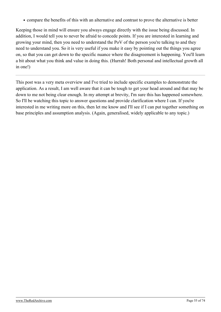compare the benefits of this with an alternative and contrast to prove the alternative is better

Keeping those in mind will ensure you always engage directly with the issue being discussed. In addition, I would tell you to never be afraid to concede points. If you are interested in learning and growing your mind, then you need to understand the PoV of the person you're talking to and they need to understand you. So it is very useful if you make it easy by pointing out the things you agree on, so that you can get down to the specific nuance where the disagreement is happening. You'll learn a bit about what you think and value in doing this. (Hurrah! Both personal and intellectual growth all in one!)

This post was a very meta overview and I've tried to include specific examples to demonstrate the application. As a result, I am well aware that it can be tough to get your head around and that may be down to me not being clear enough. In my attempt at brevity, I'm sure this has happened somewhere. So I'll be watching this topic to answer questions and provide clarification where I can. If you're interested in me writing more on this, then let me know and I'll see if I can put together something on base principles and assumption analysis. (Again, generalised, widely applicable to any topic.)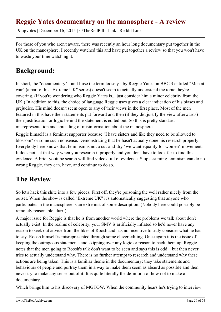## **Reggie Yates documentary on the manosphere - A review**

19 upvotes | December 16, 2015 | /r/TheRedPill | [Link](https://theredarchive.com/r/TheRedPill/reggie-yates-documentary-on-the-manosphere-a.38994) | [Reddit Link](https://old.reddit.com/r/TheRedPill/comments/3x4r4l/reggie_yates_documentary_on_the_manosphere_a/)

For those of you who aren't aware, there was recently an hour long documentary put together in the UK on the manosphere. I recently watched this and have put together a review so that you won't have to waste your time watching it.

## **Background:**

In short, the "documentary" - and I use the term loosely - by Reggie Yates on BBC 3 entitled "Men at war" (a part of his "Extreme UK" series) doesn't seem to actually understand the topic they're covering. (If you're wondering who Reggie Yates is... just consider him a minor celebrity from the UK.) In addition to this, the choice of language Reggie uses gives a clear indication of his biases and prejudice. His mind doesn't seem open to any of their views in the first place. Most of the men featured in this have their statements put forward and then (if they did justify the view afterwards) their justification or logic behind the statement is edited out. So this is pretty standard misrepresentation and spreading of misinformation about the manosphere.

Reggie himself is a feminist supporter because "I have sisters and like they need to be allowed to blossom" or some such nonsense. Demonstrating that he hasn't actually done his research properly. Everybody here knows that feminism is not a cut-and-dry "we want equality for women" movement. It does not act that way when you research it properly and you don't have to look far to find this evidence. A brief youtube search will find videos full of evidence. Stop assuming feminism can do no wrong Reggie, they can, have, and continue to do so.

## **The Review**

So let's hack this shite into a few pieces. First off, they're poisoning the well rather nicely from the outset. When the show is called "Extreme UK" it's automatically suggesting that anyone who participates in the manosphere is an extremist of some description. (Nobody here could possibly be remotely reasonable, durr!)

A major issue for Reggie is that he is from another world where the problems we talk about don't actually exist. In the realms of celebrity, your SMV is artificially inflated so he'd never have any reason to seek out advice from the likes of Roosh and has no incentive to truly consider what he has to say. Roosh himself is misrepresented through some clever editing. Once again it is the issue of keeping the outrageous statements and skipping over any logic or reason to back them up. Reggie notes that the men going to Roosh's talk don't want to be seen and says this is odd... but then never tries to actually understand why. There is no further attempt to research and understand why these actions are being taken. This is a familiar theme in the documentary: they take statements and behaviours of people and portray them in a way to make them seem as absurd as possible and then never try to make any sense out of it. It is quite literally the definition of how not to make a documentary.

Which brings him to his discovery of MGTOW. When the community hears he's trying to interview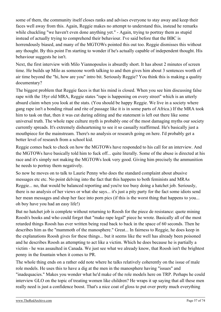some of them, the community itself closes ranks and advises everyone to stay away and keep their faces well away from this. Again, Reggie makes no attempt to understand this, instead he remarks while chuckling "we haven't even done anything yet." - Again, trying to portray them as stupid instead of actually trying to comprehend their behaviour. I've said before that the BBC is horrendously biased, and many of the MGTOWs pointed this out too. Reggie dismisses this without any thought. By this point I'm starting to wonder if he's actually capable of independent thought. His behaviour suggests he isn't.

Next, the first interview with Milo Yiannopoulos is absurdly short. It has about 2 minutes of screen time. He builds up Milo as someone worth talking to and then gives him about 3 sentences worth of air time beyond the "hi, how are you" intro bit. Seriously Reggie? You think this is making a quality documentary?

The biggest problem that Reggie faces is that his mind is closed. When you see him discussing false rape with the 18yr old MRA, Reggie states "rape is happening on every street" which is an utterly absurd claim when you look at the stats. (You should be happy Reggie. We live in a society where gang rape isn't a bonding ritual and rite of passage like it is in some parts of Africa.) If the MRA took him to task on that, then it was cut during editing and the statement is left out there like some universal truth. The whole rape culture myth is probably one of the most damaging myths our society currently spreads. It's extremely disheartening to see it so casually reaffirmed. He's basically just a mouthpiece for the mainstream. There's no analysis or research going on here. I'd probably get a better level of research from a school kid.

Reggie comes back to check on how the MGTOWs have responded to his call for an interview. And the MGTOWs have basically told him to fuck off... quite literally. Some of the abuse is directed at his race and it's simply not making the MGTOWs look very good. Giving him precisely the ammunition he needs to portray them negatively.

So now he moves on to talk to Laurie Penny who does the standard complaint about abusive messages etc etc. No point delving into the fact that this happens to both feminists and MRAs Reggie... no, that would be balanced reporting and you're too busy doing a hatchet job. Seriously, there is no analysis of her views or what she says... it's just a pity party for the fact some idiots send her mean messages and shop her face into porn pics (if this is the worst thing that happens to you... oh boy have you had an easy life!)

But no hatchet job is complete without returning to Roosh for the piece de resistance: quote mining Roosh's books and who could forget that "make rape legal" piece he wrote. Basically all of the most retarded things Roosh has ever written being read back to back in the space of 60 seconds. Then he describes him as the "mammoth of the manosphere." Great... In fairness to Reggie, he does keep in the explanations Roosh gives for these things... but it seems like the well has already been poisoned and he describes Roosh as attempting to act like a victim. Which he does because he is partially a victim - he was assaulted in Canada. We just see what we already know, that Roosh isn't the brightest penny in the fountain when it comes to PR.

The whole thing ends on a rather odd note where he talks relatively coherently on the issue of male role models. He uses this to have a dig at the men in the manosphere having "issues" and "inadequacies." Makes you wonder what he'd make of the role models here on TRP. Perhaps he could interview GLO on the topic of treating women like children? He wraps it up saying that all these men really need is just a confidence boost. That's a nice coat of gloss to put over pretty much everything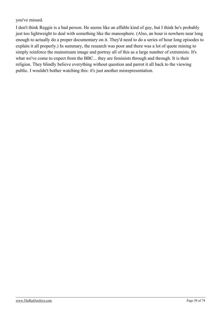you've missed.

I don't think Reggie is a bad person. He seems like an affable kind of guy, but I think he's probably just too lightweight to deal with something like the manosphere. (Also, an hour is nowhere near long enough to actually do a proper documentary on it. They'd need to do a series of hour long episodes to explain it all properly.) In summary, the research was poor and there was a lot of quote mining to simply reinforce the mainstream image and portray all of this as a large number of extremists. It's what we've come to expect from the BBC... they are feminists through and through. It is their religion. They blindly believe everything without question and parrot it all back to the viewing public. I wouldn't bother watching this: it's just another misrepresentation.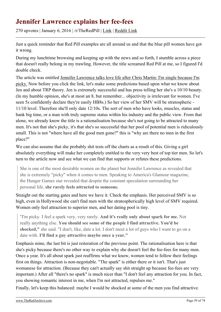## **Jennifer Lawrence explains her fee-fees**

270 upvotes | January 6, 2016 | /r/TheRedPill | [Link](https://theredarchive.com/r/TheRedPill/jennifer-lawrence-explains-her-fee-fees.55113) | [Reddit Link](https://old.reddit.com/r/TheRedPill/comments/3zpqjs/jennifer_lawrence_explains_her_feefees/)

Just a quick reminder that Red Pill examples are all around us and that the blue pill women have got it wrong.

During my lunchtime browsing and keeping up with the news and so forth, I stumble across a piece that doesn't really belong in my trawling. However, the title screamed Red Pill at me, so I figured I'd double check.

The article was entitled [Jennifer Lawrence talks love life after Chris Martin: I'm single because I'm](http://www.ibtimes.co.uk/jennifer-lawrence-talks-love-life-after-chris-martin-im-single-because-im-picky-1536202) [picky.](http://www.ibtimes.co.uk/jennifer-lawrence-talks-love-life-after-chris-martin-im-single-because-im-picky-1536202) Now before you click the link, let's make some predictions based upon what we know about Jen and about TRP theory. Jen is extremely successful and has press telling her she's a 10/10 beauty. (In my humble opinion, she's at most an 8, but remember... objectivity is irrelevant for women. I've seen 5s confidently declare they're easily HB8s.) So her view of her SMV will be stratospheric - 11/10 level. Therefore she'll only date 12/10s. The sort of men who have looks, muscles, status and bank big time, or a man with truly supreme status within his industry and the public view. From that alone, we already know the title is a rationalisation because she's not going to be attracted to many men. It's not that she's picky, it's that she's so successful that her pool of potential men is ridiculously small. This is not "where have all the good men gone?" this is "why are there no men in the first place?"

We can also assume that she probably shit tests off the charts as a result of this. Giving a girl absolutely everything will make her completely entitled to the very very best of top tier men. So let's turn to the article now and see what we can find that supports or refutes these predictions.

She is one of the most desirable women on the planet but Jennifer Lawrence as revealed that she is extremely "picky" when it comes to men. Speaking to America's Glamour magazine, the Hunger Games star revealed that despite the constant speculation surrounding her personal life, **she rarely feels attracted to someone.**

Straight out the starting gates and here we have it. Check the emphasis. Her perceived SMV is so high, even in Hollywood she can't find men with the stratospherically high level of SMV required. Women only feel attraction to superior men, and her dating pool is tiny.

"I'm picky. I feel a spark very, very rarely. **And it's really only about spark for me.** Not really anything else. **You should see some of the people I find attractive. You'd be shocked,"** she said. "I don't, like, date a lot. I don't meet a lot of guys who I want to go on a date with. **I'll find a guy attractive maybe once a year."**

Emphasis mine, the last bit is just reiteration of the previous point. The rationalisation here is that she's picky because there's no other way to explain why she doesn't feel the fee-fees for many men. Once a year. It's all about spark just reaffirms what we know, women tend to follow their feelings first on things. Attraction is non-negotiable. "The spark" is either there or it isn't. That's just womanese for attraction. (Because they can't actually say shit straight up because fee-fees are very important.) After all "there's no spark" is much nicer than "I don't feel any attraction for you. In fact, you showing romantic interest in me, when I'm not attracted, repulses me."

Finally, let's keep this balanced: maybe I would be shocked at some of the men you find attractive.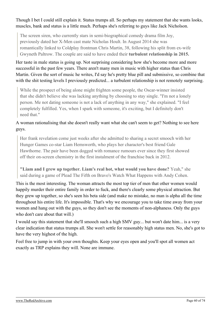Though I bet I could still explain it. Status trumps all. So perhaps my statement that she wants looks, muscles, bank and status is a little much. Perhaps she's referring to guys like Jack Nicholson.

The screen siren, who currently stars in semi-biographical comedy drama film Joy, previously dated her X-Men cast mate Nicholas Hoult. In August 2014 she was romantically linked to Coldplay frontman Chris Martin, 38, following his split from ex-wife Gwyneth Paltrow. The couple are said to have ended their **turbulent relationship in 2015.**

Her taste in male status is going up. Not surprising considering how she's become more and more successful in the past few years. There aren't many men in music with higher status than Chris Martin. Given the sort of music he writes, I'd say he's pretty blue pill and submissive, so combine that with the shit testing levels I previously predicted... a turbulent relationship is not remotely surprising.

While the prospect of being alone might frighten some people, the Oscar-winner insisted that she didn't believe she was lacking anything by choosing to stay single. "I'm not a lonely person. Me not dating someone is not a lack of anything in any way," she explained. "I feel completely fulfilled. Yes, when I spark with someone, it's exciting, but I definitely don't need that."

#### A woman rationalising that she doesn't really want what she can't seem to get? Nothing to see here guys.

Her frank revelation come just weeks after she admitted to sharing a secret smooch with her Hunger Games co-star Liam Hemsworth, who plays her character's best friend Gale Hawthorne. The pair have been dogged with romance rumours ever since they first showed off their on-screen chemistry in the first instalment of the franchise back in 2012.

**"Liam and I grew up together. Liam's real hot, what would you have done?** Yeah," she said during a game of Plead The Fifth on Bravo's Watch What Happens with Andy Cohen.

This is the most interesting. The woman attracts the most top tier of men that other women would happily murder their entire family in order to fuck, and there's clearly some physical attraction. But they grew up together, so she's seen his beta side (and make no mistake, no man is alpha all the time throughout his entire life. It's impossible. That's why we encourage you to take time away from your women and hang out with the guys, so they don't see the moments of non-alphaness. Only the guys who don't care about that will.)

I would say this statement that she'll smooch such a high SMV guy... but won't date him... is a very clear indication that status trumps all. She won't settle for reasonably high status men. No, she's got to have the very highest of the high.

Feel free to jump in with your own thoughts. Keep your eyes open and you'll spot all women act exactly as TRP explains they will. None are immune.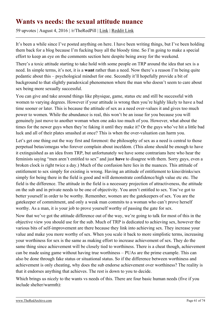### **Wants vs needs: the sexual attitude nuance**

59 upvotes | August 4, 2016 | /r/TheRedPill | [Link](https://theredarchive.com/r/TheRedPill/wants-vs-needs-the-sexual-attitude-nuance.61271) | [Reddit Link](https://old.reddit.com/r/TheRedPill/comments/4w4w6r/wants_vs_needs_the_sexual_attitude_nuance/)

It's been a while since I've posted anything on here. I have been writing things, but I've been holding them back for a blog because I'm fucking busy all the bloody time. So I'm going to make a special effort to keep an eye on the comments section here despite being away for the weekend.

There's a toxic attitude starting to take hold with some people on TRP around the idea that sex is a need. In simple terms, it's not, it is a **want** rather than a need. Now there's a reason I'm being quite pedantic about this – psychological mindset for one. Secondly it'll hopefully provide a bit of background to that slightly paradoxical phenomenon where the man who doesn't seem to care about sex being more sexually successful.

You can give and take around things like physique, game, status etc and still be successful with women to varying degrees. However if your attitude is wrong then you're highly likely to have a bad time sooner or later. This is because the attitude of sex as a need over-values it and gives too much power to women. While the abundance is real, this won't be an issue for you because you will genuinely just move to another woman when one asks too much of you. However, what about the times for the newer guys when they're faking it until they make it? Or the guys who've hit a little bad luck and all of their plates smashed at once? This is when the over-valuation can harm you.

Let's get one thing out the way first and foremost: the philosophy of sex as a need is central to those perpetual betas/omegas who forever complain about inceldom. (This alone should be enough to have it extinguished as an idea from TRP, but unfortunately we have some contrarians here who hear the feminists saying "men aren't entitled to sex" and just **have** to disagree with them. Sorry guys, even a broken clock is right twice a day.) Much of the confusion here lies in the nuances. This attitude of entitlement to sex simply for existing is wrong. Having an attitude of entitlement to kino/drinks/sex simply for being there in the field is good and will demonstrate confidence/high value etc etc. The field is the difference. The attitude in the field is a necessary projection of attractiveness, the attitude on the sub and in private needs to be one of objectivity. You aren't entitled to sex. You've got to better yourself in order to be worthy. Remember, women are the gatekeepers of sex. You are the gatekeeper of commitment, and only a weak man commits to a woman who can't prove herself worthy. As a man, it is your job to prove yourself worthy of passing the gate for sex.

Now that we've got the attitude difference out of the way, we're going to talk for most of this in the objective view you should use for the sub. Much of TRP is dedicated to achieving sex, however the various bits of self-improvement are there because they link into achieving sex. They increase your value and make you more worthy of sex. When you scale it back to more simplistic terms, increasing your worthiness for sex is the same as making effort to increase achievement of sex. They do the same thing since achievement will be closely tied to worthiness. There is a cheat though, achievement can be made using game without having true worthiness – PUAs are the prime example. This can also be done through fake status or situational status. So if the difference between worthiness and achievement is only cheating, why does the sub endorse achievement over worthiness? The reality is that it endorses anything that achieves. The rest is down to you to decide.

Which brings us nicely to the wants vs needs of this. There are four basic human needs (five if you include shelter/warmth):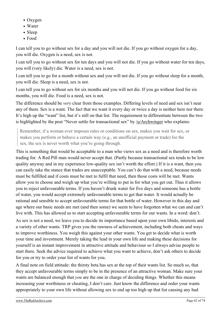- Oxygen
- Water
- Sleep
- Food

I can tell you to go without sex for a day and you will not die. If you go without oxygen for a day, you will die. Oxygen is a need, sex is not.

I can tell you to go without sex for ten days and you will not die. If you go without water for ten days, you will (very likely) die. Water is a need, sex is not.

I can tell you to go for a month without sex and you will not die. If you go without sleep for a month, you will die. Sleep is a need, sex is not.

I can tell you to go without sex for six months and you will not die. If you go without food for six months, you will die. Food is a need, sex is not.

The difference should be *very* clear from those examples. Differing levels of need and sex isn't near any of them. Sex is a want. The fact that we want it every day or twice a day is neither here nor there. It's high up the "want" list, but it's still on that list. The requirement to differentiate between the two is highlighted by the post "Never settle for transactional sex" by [/u/Archwinger](https://theredarchive.com/u/Archwinger) who explains:

Remember, if a woman ever imposes rules or conditions on sex, makes you wait for sex, or makes you perform or behave a certain way (e.g., an unofficial payment or trade) for the sex, the sex is never worth what you're going through.

This is something that would be acceptable to a man who views sex as a need and is therefore worth trading for. A Red Pill man would never accept that. (Partly because transactional sex tends to be low quality anyway and in my experience low-quality sex isn't worth the effort.) If it is a want, then you can easily take the stance that trades are unacceptable. You can't do that with a need, because needs must be fulfilled and if costs must be met to fulfil that need, then those costs will be met. Wants allow you to choose and weigh up what you're willing to put in for what you get out. Thus it allows you to reject unfavourable terms. If you haven't drunk water for five days and someone has a bottle of water, you would accept extremely unfavourable terms to get that water. It would actually be rational and sensible to accept unfavourable terms for that bottle of water. However in this day and age where our basic needs are met (and then some) we seem to have forgotten what we can and can't live with. This has allowed us to start accepting unfavourable terms for our wants. In a word: don't.

As sex is not a need, we leave you to decide its importance based upon your own libido, interests and a variety of other wants. TRP gives you the rawness of achievement, including both cheats and ways to improve worthiness. You weigh this against your other wants. You get to decide what is worth your time and investment. Merely taking the lead in your own life and making these decisions for yourself is an instant improvement in attractive attitude and behaviour so I always advise people to start there. Seek the advice required to achieve what you want to achieve, don't ask others to decide for you or try to order your list of wants for you.

A final note on field attitude: the thirsty beta has sex at the top of their wants list. So much so, that they accept unfavourable terms simply to be in the presence of an attractive woman. Make sure your wants are balanced enough that *you* are the one in charge of deciding things. Whether this means increasing your worthiness or cheating, I don't care. Just know the difference and order your wants appropriately to your own life without allowing sex to end up too high up that list causing any bad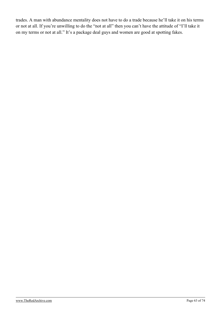trades. A man with abundance mentality does not have to do a trade because he'll take it on his terms or not at all. If you're unwilling to do the "not at all" then you can't have the attitude of "I'll take it on my terms or not at all." It's a package deal guys and women are good at spotting fakes.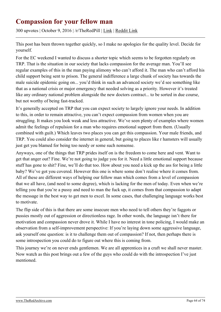## **Compassion for your fellow man**

300 upvotes | October 9, 2016 | /r/TheRedPill | [Link](https://theredarchive.com/r/TheRedPill/compassion-for-your-fellow-man.63557) | [Reddit Link](https://old.reddit.com/r/TheRedPill/comments/56nx06/compassion_for_your_fellow_man/)

This post has been thrown together quickly, so I make no apologies for the quality level. Decide for yourself.

For the EC weekend I wanted to discuss a shorter topic which seems to be forgotten regularly on TRP. That is the situation in our society that lacks compassion for the average man. You'll see regular examples of this in the man paying alimony who can't afford it. The man who can't afford his child support being sent to prison. The general indifference a large chunk of society has towards the male suicide epidemic going on... you'd think in such an advanced society we'd see something like that as a national crisis or major emergency that needed solving as a priority. However it's treated like any ordinary national problem alongside the new doctors contract... to be sorted in due course, but not worthy of being fast-tracked.

It's generally accepted on TRP that you can expect society to largely ignore your needs. In addition to this, in order to remain attractive, you can't expect compassion from women when you are struggling. It makes you look weak and less attractive. We've seen plenty of examples where women admit the feelings of repulsion for a man who requires emotional support from them. (Usually combined with guilt.) Which leaves two places you can get this compassion. Your male friends, and TRP. You could also consider the internet in general, but going to places like r hamsters will usually just get you blamed for being too needy or some such nonsense.

Anyways, one of the things that TRP prides itself on is the freedom to come here and vent. Want to get that anger out? Fine. We're not going to judge you for it. Need a little emotional support because stuff has gone to shit? Fine, we'll do that too. How about you need a kick up the ass for being a little baby? We've got you covered. However this one is where some don't realise where it comes from. All of these are different ways of helping our fellow man which comes from a level of compassion that we all have, (and need to some degree), which is lacking for the men of today. Even when we're telling you that you're a pussy and need to man the fuck up, it comes from that compassion to adapt the message in the best way to get men to excel. In some cases, that challenging language works best to motivate.

The flip side of this is that there are some insecure men who need to tell others they're faggots or pussies mostly out of aggression or directionless rage. In other words, the language isn't there for motivation and compassion never drove it. While I have no interest in tone policing, I would make an observation from a self-improvement perspective: If you're laying down some aggressive language, ask yourself one question: is it to challenge them out of compassion? If not, then perhaps there is some introspection you could do to figure out where this is coming from.

This journey we're on never ends gentlemen. We are all apprentices in a craft we shall never master. Now watch as this post brings out a few of the guys who could do with the introspection I've just mentioned.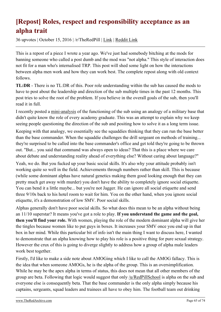# **[Repost] Roles, respect and responsibility acceptance as an alpha trait**

36 upvotes | October 15, 2016 | /r/TheRedPill | [Link](https://theredarchive.com/r/TheRedPill/repost-roles-respect-and-responsibility-acceptance.63695) | [Reddit Link](https://old.reddit.com/r/TheRedPill/comments/57nyrs/repost_roles_respect_and_responsibility/)

This is a repost of a piece I wrote a year ago. We've just had somebody bitching at the mods for banning someone who called a post dumb and the mod was "not alpha." This style of interaction does not fit for a man who's internalised TRP. This post will shed some light on how the interactions between alpha men work and how they can work best. The complete repost along with old context follows.

**TL:DR** - There is no TL:DR of this. Poor role understanding within the sub has caused the mods to have to post about the leadership and direction of the sub multiple times in the past 12 months. This post tries to solve the root of the problem. If you believe in the overall goals of the sub, then you'll read it in full.

I recently posted a [mini-analysis](https://archive.is/ktG5K) of the functioning of the sub using an analogy of a military base that didn't quite know the role of every academy graduate. This was an attempt to explain why we keep seeing people questioning the direction of the sub and positing how to solve it as a long term issue.

Keeping with that analogy, we essentially see the squaddies thinking that they can run the base better than the base commander. When the squaddie challenges the drill sergeant on methods of training... they're surprised to be called into the base commander's office and get told they're going to be thrown out. "But... you said that command was always open to ideas? That this is a place where we care about debate and understanding reality ahead of everything else? Without caring about language?"

Yeah, we do. But you fucked up your basic social skills. It's also why your attitude probably isn't working quite so well in the field. Achievements through numbers rather than skill. This is because (while some dominant alphas have natural genetics making them good looking enough that they can pretty much get away with murder) you don't have the ability to completely ignore social etiquette. You can bend it a little maybe... but you're not Jagger. He can ignore all social etiquette and send three 9/10s back to his hotel room to wait for him. You on the other hand, when you ignore social etiquette, it's a demonstration of low SMV. Poor social skills.

Alphas generally don't have poor social skills. So what does this mean to be an alpha without being an 11/10 superstar? It means you've got a role to play. **If you understand the game and the goal, then you'll find your role.** With women, playing the role of the modern dominant alpha will give her the tingles because women like to put guys in boxes. It increases your SMV once you end up in that box in her mind. While this particular bit of info isn't the main thing I want to discuss here, I wanted to demonstrate that an alpha knowing how to play his role is a positive thing for pure sexual strategy. However the crux of this is going to diverge slightly to address how a group of alpha male leaders work best together.

Firstly, I'd like to make a side note about AMOGing which I like to call the AMOG fallacy. This is the idea that when someone AMOGs, he is the alpha of the group. This is an oversimplification. While he may be the apex alpha in terms of status, this does not mean that all other members of the group are beta. Following that logic would suggest that only [/u/RedPillSchool](https://theredarchive.com/u/RedPillSchool) is alpha on the sub and everyone else is consequently beta. That the base commander is the only alpha simply because his captains, sergeants, squad leaders and trainees all have to obey him. The football team out drinking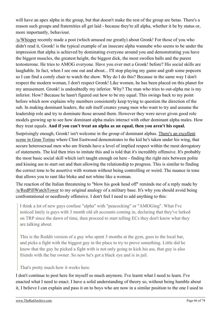will have an apex alpha in the group, but that doesn't make the rest of the group are betas. There's a reason such groups and fraternities all get laid - because they're all alpha, whether it be by status or, more importantly, behaviour.

[/u/Whisper](https://theredarchive.com/u/Whisper) recently made a post (which amused me greatly) about Gronk! For those of you who didn't read it, Gronk! is the typical example of an insecure alpha wannabe who seems to be under the impression that alpha is achieved by dominating everyone around you and demonstrating you have the biggest muscles, the greatest height, the biggest dick, the most swollen balls and the purest testosterone. He tries to AMOG everyone. Have you ever met a Gronk! before? His social skills are laughable. In fact, when I see one out and about... I'll stop playing my game and grab some popcorn so I can find a comfy chair to watch the show. Why do I do this? Because in the same way I don't respect the modern woman, I don't respect Gronk! Like women, he has been placed on this planet for my amusement. Gronk! is undoubtedly my inferior. Why? The man who tries to out-alpha me is my inferior. How? Because he hasn't figured out how to be my equal. This swings back to my point before which now explains why members consistently keep trying to question the direction of the sub. In making dominant leaders, the sub itself creates young men who want to try and assume the leadership role and try to dominate those around them. However they were never given good role models growing up to see how dominant alpha males interact with other dominant alpha males. How they treat equals. **And if you can't treat an alpha as an equal, then you aren't his equal.**

Surprisingly enough, Gronk! isn't welcome in the group of dominant alphas. [There's an excellent](https://www.youtube.com/watch?v=VXD8yOxIPB0) [scene in Gran Torino](https://www.youtube.com/watch?v=VXD8yOxIPB0) where Clint Eastwood demonstrates to the kid he's taken under his wing, that secure heterosexual men who are friends have a level of implied respect within the most derogatory of statements. The kid then tries to imitate this and is told that it's incredibly offensive. It's probably the most basic social skill which isn't taught enough on here - finding the right mix between polite and kissing ass to start out and then allowing the relationship to progress. This is similar to finding the correct tone to be assertive with women without being controlling or weird. The nuance in tone that allows you to rant like bloke and not whine like a woman.

The reaction of the Italian threatening to "blow his gook head off" reminds me of a reply made by [/u/RedPillWatchTower](https://theredarchive.com/u/RedPillWatchTower) to my original analogy of a military base. It's why you should avoid being confrontational or needlessly offensive. I don't feel I need to add anything to this:

I think a lot of new guys confuse "alpha" with "peacocking" or "AMOGing". What I've noticed lately is guys with 3 month old alt accounts coming in, declaring that they've lurked on TRP since the dawn of time, then proceed to start telling ECs they don't know what they are talking about.

This is the Reddit version of a guy who spent 3 months at the gym, goes to the local bar, and picks a fight with the biggest guy in the place to try to prove something. Little did he know that the guy he picked a fight with is not only going to kick his ass, that guy is also friends with the bar owner. So now he's got a black eye and is in jail.

That's pretty much how it works here.

I don't continue to post here for myself so much anymore. I've learnt what I need to learn. I've enacted what I need to enact. I have a solid understanding of theory so, without being humble about it, I believe I can explain and pass it on to boys who are now in a similar position to the one I used to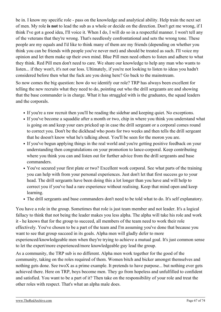be in. I know my specific role - pass on the knowledge and analytical ability. Help train the next set of men. My role **is not** to lead the sub as a whole or decide on the direction. Don't get me wrong, if I think I've got a good idea, I'll voice it. When I do, I will do so in a respectful manner. I won't tell any of the veterans that they're wrong. That's needlessly confrontational and sets the wrong tone. These people are my equals and I'd like to think many of them are my friends (depending on whether you think you can be friends with people you've never met) and should be treated as such. I'll voice my opinion and let them make up their own mind. Blue Pill men need others to listen and adhere to what they think. Red Pill men don't need to care. We share our knowledge to help any man who wants to listen... if they won't, it's not our loss. Ultimately, if you're not looking to listen to ideas you hadn't considered before then what the fuck are you doing here? Go back to the mainstream.

So now comes the big question: how do we identify our role? TRP has always been excellent for telling the new recruits what they need to do, pointing out who the drill sergeants are and showing that the base commander is in charge. What it has struggled with is the graduates, the squad leaders and the corporals.

- If you're a raw recruit then you'll be reading the sidebar and keeping quiet. No exceptions.
- If you've become a squaddie after a month or two, chip in where you think you understand what is going on and keep your ears pricked up in case the drill sergeant or a corporal comes round to correct you. Don't be the dickhead who posts for two weeks and then tells the drill sergeant that he doesn't know what he's talking about. You'll be seen for the moron you are.
- If you've begun applying things in the real world and you're getting positive feedback on your understanding then congratulations on your promotion to lance-corporal. Keep contributing where you think you can and listen out for further advice from the drill sergeants and base commanders.
- You've secured your first plate or two? Excellent work corporal. See what parts of the training you can help with from your personal experiences. Just don't let that first success go to your head. The drill sergeants have been doing this a lot longer than you have and will help to correct you if you've had a rare experience without realising. Keep that mind open and keep learning.
- The drill sergeants and base commanders don't need to be told what to do. It's self explanatory.

You have a role in the group. Sometimes that role is just team member and not leader. It's a logical fallacy to think that not being the leader makes you less alpha. The alpha will take his role and work it - he knows that for the group to succeed, all members of the team need to work their role effectively. You've chosen to be a part of the team and I'm assuming you've done that because you want to see that group succeed in its goals. Alpha men will gladly defer to more experienced/knowledgeable men when they're trying to achieve a mutual goal. It's just common sense to let the expert/more experienced/more knowledgeable guy lead the group.

As a community, the TRP sub is no different. Alpha men work together for the good of the community, taking on the roles required of them. Women bitch and bicker amongst themselves and nothing gets done. See twoX as a prime example. It pretends to have purpose... but nothing ever gets achieved there. Here on TRP, boys become men. They go from hopeless and unfulfilled to confident and satisfied. You want to be a part of it? Then take on the responsibility of your role and treat the other roles with respect. That's what an alpha male does.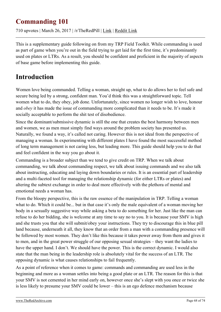## **Commanding 101**

710 upvotes | March 26, 2017 | /r/TheRedPill | [Link](https://theredarchive.com/r/TheRedPill/commanding-101.42122) | [Reddit Link](https://old.reddit.com/r/TheRedPill/comments/61lex6/commanding_101/)

This is a supplementary guide following on from my TRP Field Toolkit. While commanding is used as part of game when you're out in the field trying to get laid for the first time, it's predominantly used on plates or LTRs. As a result, you should be confident and proficient in the majority of aspects of base game before implementing this guide.

## **Introduction**

Women love being commanded. Telling a woman, straight up, what to do allows her to feel safe and secure being led by a strong, confident man. You'd think this was a straightforward topic. Tell women what to do, they obey, job done. Unfortunately, since women no longer wish to love, honour and *obey* it has made the issue of commanding more complicated than it needs to be. It's made it socially acceptable to perform the shit test of disobedience.

Since the dominant/submissive dynamic is still the one that creates the best harmony between men and women, we as men must simply find ways around the problem society has presented us. Naturally, we found a way, it's called not caring. However this is not ideal from the perspective of managing a woman. In experimenting with different plates I have found the most successful method of long term management is not caring less, but leading more. This guide should help you to do that and feel confident in the way you go about it.

Commanding is a broader subject than we tend to give credit on TRP. When we talk about commanding, we talk about commanding respect, we talk about issuing commands and we also talk about instructing, educating and laying down boundaries or rules. It is an essential part of leadership and a multi-faceted tool for managing the relationship dynamic (for either LTRs or plates) and altering the subtext exchange in order to deal more effectively with the plethora of mental and emotional needs a woman has.

From the bloopy perspective, this is the raw essence of the manipulation in TRP. Telling a woman what to do. Which it could be... but in that case it's only the male equivalent of a woman moving her body in a sexually suggestive way while asking a beta to do something for her. Just like the man can refuse to do her bidding, she is welcome at any time to say no to you. It is because your SMV is high and she trusts you that she will submit/obey your instructions. They try to discourage this in blue pill land because, underneath it all, they know that an order from a man with a commanding presence will be followed by most women. They don't like this because it takes power away from them and gives it to men, and in the great power struggle of our opposing sexual strategies – they want the ladies to have the upper hand. I don't. We should have the power. This is the correct dynamic. I would also state that the man being in the leadership role is absolutely vital for the success of an LTR. The opposing dynamic is what causes relationships to fail frequently.

As a point of reference when it comes to game: commands and commanding are used less in the beginning and more as a woman settles into being a good plate or an LTR. The reason for this is that your SMV is not cemented in her mind early on, however once she's slept with you once or twice she is less likely to presume your SMV could be lower – this is an ego defence mechanism because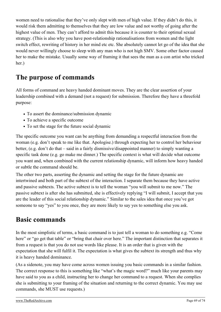women need to rationalise that they've only slept with men of high value. If they didn't do this, it would risk them admitting to themselves that they are low value and not worthy of going after the highest value of men. They can't afford to admit this because it is counter to their optimal sexual strategy. (This is also why you have post-relationship rationalisations from women and the light switch effect, rewriting of history in her mind etc etc. She absolutely cannot let go of the idea that she would never willingly choose to sleep with any man who is not high SMV. Some other factor caused her to make the mistake. Usually some way of framing it that sees the man as a con artist who tricked her.)

## **The purpose of commands**

All forms of command are heavy handed dominant moves. They are the clear assertion of your leadership combined with a demand (not a request) for submission. Therefore they have a threefold purpose:

- To assert the dominance/submission dynamic
- To achieve a specific outcome
- To set the stage for the future social dynamic

The specific outcome you want can be anything from demanding a respectful interaction from the woman (e.g. don't speak to me like that. Apologise.) through expecting her to control her behaviour better, (e.g. don't do that – said in a fairly dismissive/disappointed manner) to simply wanting a specific task done (e.g. go make me dinner.) The specific context is what will decide what outcome you want and, when combined with the current relationship dynamic, will inform how heavy handed or subtle the command should be.

The other two parts, asserting the dynamic and setting the stage for the future dynamic are intertwined and both part of the subtext of the interaction. I separate them because they have active and passive subtexts. The active subtext is to tell the woman "you will submit to me now." The passive subtext is after she has submitted, she is effectively replying "I will submit, I accept that you are the leader of this social relationship dynamic." Similar to the sales idea that once you've got someone to say "yes" to you once, they are more likely to say yes to something else you ask.

## **Basic commands**

In the most simplistic of terms, a basic command is to just tell a woman to do something e.g. "Come here" or "go get that table" or "bring that chair over here." The important distinction that separates it from a request is that you do not use words like please. It is an order that is given with the expectation that she will fulfil it. The expectation is what gives the subtext its strength and thus why it is heavy handed dominance.

(As a sidenote, you may have come across women issuing you basic commands in a similar fashion. The correct response to this is something like "what's the magic word?" much like your parents may have said to you as a child, instructing her to change her command to a request. When she complies she is submitting to your framing of the situation and returning to the correct dynamic. You may use commands, she MUST use requests.)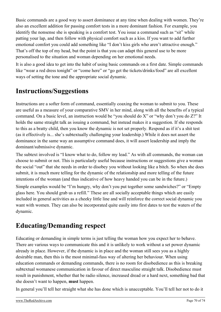Basic commands are a good way to assert dominance at any time when dealing with women. They're also an excellent addition for passing comfort tests in a more dominant fashion. For example, you identify the nonsense she is speaking is a comfort test. You issue a command such as "sit" while patting your lap, and then follow with physical comfort such as a kiss. If you want to add further emotional comfort you could add something like "I don't kiss girls who aren't attractive enough." That's off the top of my head, but the point is that you can adapt this general use to be more personalised to the situation and woman depending on her emotional needs.

It is also a good idea to get into the habit of using basic commands on a first date. Simple commands like "wear a red dress tonight" or "come here" or "go get the tickets/drinks/food" are all excellent ways of setting the tone and the appropriate social dynamic.

# **Instructions/Suggestions**

Instructions are a softer form of command, essentially coaxing the woman to submit to you. These are useful as a measure of your comparative SMV in her mind, along with all the benefits of a typical command. On a basic level, an instruction would be "you should do X" or "why don't you do Z?" It holds the same straight talk as issuing a command, but instead makes it a suggestion. If she responds to this as a bratty child, then you know the dynamic is not set properly. Respond as if it's a shit test (as it effectively is... she's subtextually challenging your leadership.) While it does not assert the dominance in the same way an assumptive command does, it will assert leadership and imply the dominant/submissive dynamic.

The subtext involved is "I know what to do, follow my lead." As with all commands, the woman can choose to submit or not. This is particularly useful because instructions or suggestions give a woman the social "out" that she needs in order to disobey you without looking like a bitch. So when she does submit, it is much more telling for the dynamic of the relationship and more telling of the future intentions of the woman (and thus indicative of how heavy handed you can be in the future.)

Simple examples would be "I'm hungry, why don't you put together some sandwiches?" or "Empty glass here. You should grab us a refill." These are all socially acceptable things which are easily included in general activities as a cheeky little line and will reinforce the correct social dynamic you want with women. They can also be incorporated quite easily into first dates to test the waters of the dynamic.

# **Educating/Demanding respect**

Educating or demanding in simple terms is just telling the woman how you expect her to behave. There are various ways to communicate this and it is unlikely to work without a set power dynamic already in place. However, if the dynamic is in place and the woman still sees you as a highly desirable man, then this is the most minimal-fuss way of altering her behaviour. When using education commands or demanding commands, there is no room for disobedience as this is breaking subtextual womanese communication in favour of direct masculine straight talk. Disobedience must result in punishment, whether that be radio silence, increased dread or a hard next, something bad that she doesn't want to happen, **must** happen.

In general you'll tell her straight what she has done which is unacceptable. You'll tell her not to do it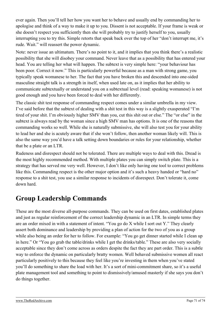ever again. Then you'll tell her how you want her to behave and usually end by commanding her to apologise and think of a way to make it up to you. Dissent is not acceptable. If your frame is weak or she doesn't respect you sufficiently then she will probably try to justify herself to you, usually interrupting you to try this. Simple retorts that speak back over the top of her "don't interrupt me, it's rude. Wait." will reassert the power dynamic.

Note: never issue an ultimatum. There's no point to it, and it implies that you think there's a realistic possibility that she will disobey your command. Never leave that as a possibility that has entered your head. You are telling her what will happen. The subtext is very simple here: "your behaviour has been poor. Correct it now." This is particularly powerful because as a man with strong game, you typically speak womanese to her. The fact that you have broken this and descended into one-sided masculine straight talk is a strength in itself, when used late on, as it implies that her ability to communicate subtextually or understand you on a subtextual level (read: speaking womanese) is not good enough and you have been forced to deal with her differently.

The classic shit test response of commanding respect comes under a similar umbrella in my view. I've said before that the subtext of dealing with a shit test in this way is a slightly exasperated "I'm tired of your shit. I'm obviously higher SMV than you, cut this shit out or else." The "or else" in the subtext is always read by the woman since a high SMV man has options. It is one of the reasons that commanding works so well. While she is naturally submissive, she will also test you for your ability to lead her and she is acutely aware that if she won't follow, then another woman likely will. This is also the same way you'd have a talk setting down boundaries or rules for your relationship, whether that be a plate or an LTR.

Rudeness and disrespect should not be tolerated. There are multiple ways to deal with this. Dread is the most highly recommended method. With multiple plates you can simply switch plate. This is a strategy that has served me very well. However, I don't like only having one tool to correct problems like this. Commanding respect is the other major option and it's such a heavy handed or "hard no" response to a shit test, you use a similar response to incidents of disrespect. Don't tolerate it, come down hard.

## **Group Leadership Commands**

These are the most diverse all-purpose commands. They can be used on first dates, established plates and just as regular reinforcement of the correct leadership dynamic in an LTR. In simple terms they are an order mixed in with a statement of intent. "You go do X while I sort out Y." They clearly assert both dominance and leadership by providing a plan of action for the two of you as a group while also being an order for her to follow. For example: "You go get dinner started while I clean up in here." Or "You go grab the table/drinks while I get the drinks/table." These are also very socially acceptable since they don't come across as orders despite the fact they are part order. This is a subtle way to enforce the dynamic on particularly bratty women. Well behaved submissive women all react particularly positively to this because they feel like you're investing in them when you've stated you'll do something to share the load with her. It's a sort of mini-commitment share, so it's a useful plate management tool and something to point to dismissively/amused masterly if she says you don't do things together.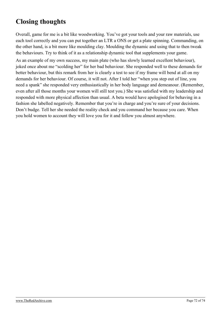## **Closing thoughts**

Overall, game for me is a bit like woodworking. You've got your tools and your raw materials, use each tool correctly and you can put together an LTR a ONS or get a plate spinning. Commanding, on the other hand, is a bit more like moulding clay. Moulding the dynamic and using that to then tweak the behaviours. Try to think of it as a relationship dynamic tool that supplements your game.

As an example of my own success, my main plate (who has slowly learned excellent behaviour), joked once about me "scolding her" for her bad behaviour. She responded well to these demands for better behaviour, but this remark from her is clearly a test to see if my frame will bend at all on my demands for her behaviour. Of course, it will not. After I told her "when you step out of line, you need a spank" she responded very enthusiastically in her body language and demeanour. (Remember, even after all those months your women will still test you.) She was satisfied with my leadership and responded with more physical affection than usual. A beta would have apologised for behaving in a fashion she labelled negatively. Remember that you're in charge and you're sure of your decisions. Don't budge. Tell her she needed the reality check and you command her because you care. When you hold women to account they will love you for it and follow you almost anywhere.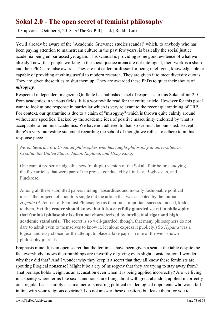## **Sokal 2.0 - The open secret of feminist philosophy**

103 upvotes | October 3, 2018 | /r/TheRedPill | [Link](https://theredarchive.com/r/TheRedPill/sokal-20-the-open-secret-of-feminist-philosophy.52810) | [Reddit Link](https://old.reddit.com/r/TheRedPill/comments/9l0m91/sokal_20_the_open_secret_of_feminist_philosophy/)

You'll already be aware of the "Academic Grievance studies scandal" which, to anybody who has been paying attention to mainstream culture in the past few years, is basically the social justice academia being embarrassed yet again. This scandal is providing some good evidence of what we already knew, that people working in the social justice arena are not intelligent, their work is a sham and their PhDs are false awards. They are not called professor for being intelligent, knowledgeable or capable of providing anything useful to modern research. They are given it to meet diversity quotas. They are given these titles to shut them up. They are awarded these PhDs to quiet their shouts of *misogyny.*

Respected independent magazine Quillette has published a [set of responses](https://quillette.com/2018/10/01/the-grievance-studies-scandal-five-academics-respond/) to this Sokal affair 2.0 from academics in various fields. It is a worthwhile read for the entire article. However for this post I want to look at one response in particular which is very relevant to the recent quarantining of TRP. For context, our quarantine is due to a claim of "misogyny" which is thrown quite calmly around without any specifics. Backed by the academic idea of positive masculinity endorsed by what is acceptable to feminist academics. We have not adhered to that, so we must be punished. Except... there's a very interesting statement regarding the school of thought we refuse to adhere to in this response piece.

*Neven Sesardic is a Croatian philosopher who has taught philosophy at universities in Croatia, the United States, Japan, England, and Hong Kong.*

One cannot properly judge this new (multiple) version of the Sokal affair before studying the fake articles that were part of the project conducted by Lindsay, Boghossian, and Pluckrose.

Among all these submitted papers mixing "absurdities and morally fashionable political ideas" the project collaborators single out the article that was accepted by the journal *Hypatia* (A Journal of Feminist Philosophy) as their most important success. Indeed, kudos to them. **Yet the reader should know that it is a carefully guarded secret in philosophy that feminist philosophy is often not characterized by intellectual rigor and high academic standards.** (The secret is so well-guarded, though, that many philosophers do not dare to admit even to themselves to know it, let alone express it publicly.) So *Hypatia* was a logical and easy choice for the attempt to place a fake paper in one of the well-known philosophy journals.

Emphasis mine. It is an open secret that the feminists have been given a seat at the table despite the fact everybody knows their ramblings are unworthy of giving even slight consideration. I wonder why they did that? And I wonder why they keep it a secret that they all know these feminists are spouting illogical nonsense? Might it be a cry of misogyny that they are trying to stay away from? That perhaps holds weight as an accusation even when it is being applied incorrectly? Are we living in a society where terms like sexist and racist are flung about with great abandon, applied incorrectly on a regular basis, simply as a manner of smearing political or ideological opponents who won't fall in line with your [religious doctrine?](https://youtu.be/kVk9a5Jcd1k?t=3m6s) I do not answer these questions but leave them for you to